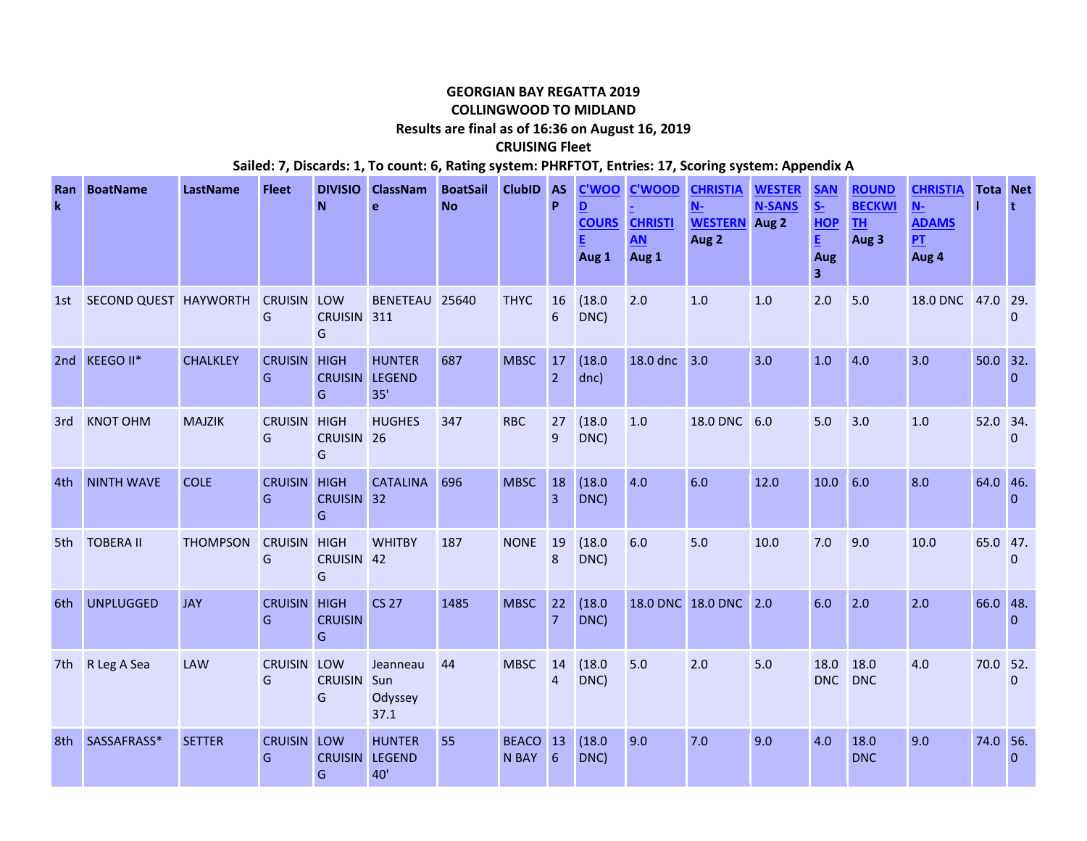## **GEORGIAN BAY REGATTA 2019 COLLINGWOOD TO MIDLAND Results are final as of 16:36 on August 16, 2019**

**CRUISING Fleet**

**Sailed: 7, Discards: 1, To count: 6, Rating system: PHRFTOT, Entries: 17, Scoring system: Appendix A**

| <b>Ran</b><br>$\mathbf k$ | <b>BoatName</b>       | LastName        | <b>Fleet</b>            | <b>DIVISIO</b><br>N                       | <b>ClassNam</b><br>e                  | <b>BoatSail</b><br><b>No</b> | ClubID AS         | P                    | <b>C'WOO</b><br>D<br>Aug 1 | <b>C'WOOD</b><br><b>COURS CHRISTI</b><br><b>AN</b><br>Aug 1 | <b>CHRISTIA</b><br>$N-$<br><b>WESTERN</b><br>Aug 2 | <b>WESTER</b><br><b>N-SANS</b><br>Aug 2 | <b>SAN</b><br>$S-$<br><b>HOP</b><br>E.<br>Aug<br>$\overline{\mathbf{3}}$ | <b>ROUND</b><br><b>BECKWI</b><br><b>TH</b><br>Aug 3 | <b>CHRISTIA</b><br>$N-$<br><b>ADAMS</b><br><b>PT</b><br>Aug 4 | <b>Tota Net</b> | t            |
|---------------------------|-----------------------|-----------------|-------------------------|-------------------------------------------|---------------------------------------|------------------------------|-------------------|----------------------|----------------------------|-------------------------------------------------------------|----------------------------------------------------|-----------------------------------------|--------------------------------------------------------------------------|-----------------------------------------------------|---------------------------------------------------------------|-----------------|--------------|
| 1st                       | SECOND QUEST HAYWORTH |                 | <b>CRUISIN</b><br>G     | LOW<br><b>CRUISIN</b><br>G                | BENETEAU 25640<br>311                 |                              | <b>THYC</b>       | 16<br>6              | (18.0)<br>DNC)             | 2.0                                                         | 1.0                                                | 1.0                                     | 2.0                                                                      | 5.0                                                 | 18.0 DNC 47.0 29.                                             |                 | $\Omega$     |
|                           | 2nd KEEGO II*         | <b>CHALKLEY</b> | <b>CRUISIN</b><br>G     | <b>HIGH</b><br><b>CRUISIN</b><br>G        | <b>HUNTER</b><br><b>LEGEND</b><br>35' | 687                          | <b>MBSC</b>       | 17<br>$\overline{2}$ | (18.0)<br>dnc)             | 18.0 dnc                                                    | 3.0                                                | 3.0                                     | 1.0                                                                      | 4.0                                                 | 3.0                                                           | 50.0 32.        | $\Omega$     |
| 3rd                       | <b>KNOT OHM</b>       | <b>MAJZIK</b>   | <b>CRUISIN</b><br>G     | <b>HIGH</b><br>CRUISIN <sub>26</sub><br>G | <b>HUGHES</b>                         | 347                          | <b>RBC</b>        | 27<br>9              | (18.0)<br>DNC)             | 1.0                                                         | <b>18.0 DNC</b>                                    | 6.0                                     | 5.0                                                                      | 3.0                                                 | 1.0                                                           | 52.0 34.        | $\mathbf{0}$ |
| 4th                       | <b>NINTH WAVE</b>     | <b>COLE</b>     | <b>CRUISIN</b><br>G     | <b>HIGH</b><br><b>CRUISIN</b><br>G        | <b>CATALINA</b><br>32                 | 696                          | <b>MBSC</b>       | 18<br>$\overline{3}$ | (18.0)<br>DNC)             | 4.0                                                         | 6.0                                                | 12.0                                    | 10.0                                                                     | 6.0                                                 | 8.0                                                           | 64.0 46.        | $\Omega$     |
| 5th                       | <b>TOBERA II</b>      | <b>THOMPSON</b> | <b>CRUISIN</b><br>G     | <b>HIGH</b><br>CRUISIN 42<br>G            | <b>WHITBY</b>                         | 187                          | <b>NONE</b>       | 19<br>8              | (18.0)<br>DNC)             | 6.0                                                         | 5.0                                                | 10.0                                    | 7.0                                                                      | 9.0                                                 | 10.0                                                          | 65.0 47.        | $\Omega$     |
| 6th                       | <b>UNPLUGGED</b>      | <b>JAY</b>      | <b>CRUISIN</b><br>G     | <b>HIGH</b><br><b>CRUISIN</b><br>G        | <b>CS 27</b>                          | 1485                         | <b>MBSC</b>       | 22<br>$\overline{7}$ | (18.0)<br>DNC)             |                                                             | 18.0 DNC 18.0 DNC 2.0                              |                                         | 6.0                                                                      | 2.0                                                 | 2.0                                                           | 66.0 48.        | $\Omega$     |
| 7th                       | R Leg A Sea           | <b>LAW</b>      | <b>CRUISIN</b><br>G     | LOW<br><b>CRUISIN</b><br>G                | Jeanneau<br>Sun<br>Odyssey<br>37.1    | 44                           | <b>MBSC</b>       | 14<br>$\overline{4}$ | (18.0)<br>DNC)             | 5.0                                                         | 2.0                                                | 5.0                                     | 18.0<br><b>DNC</b>                                                       | 18.0<br><b>DNC</b>                                  | 4.0                                                           | 70.0 52.        | $\mathbf{0}$ |
| 8th                       | SASSAFRASS*           | <b>SETTER</b>   | <b>CRUISIN LOW</b><br>G | <b>CRUISIN</b><br>G                       | <b>HUNTER</b><br><b>LEGEND</b><br>40' | 55                           | BEACO 13<br>N BAY | 6                    | (18.0)<br>DNC)             | 9.0                                                         | 7.0                                                | 9.0                                     | 4.0                                                                      | 18.0<br><b>DNC</b>                                  | 9.0                                                           | 74.0 56.        | $\Omega$     |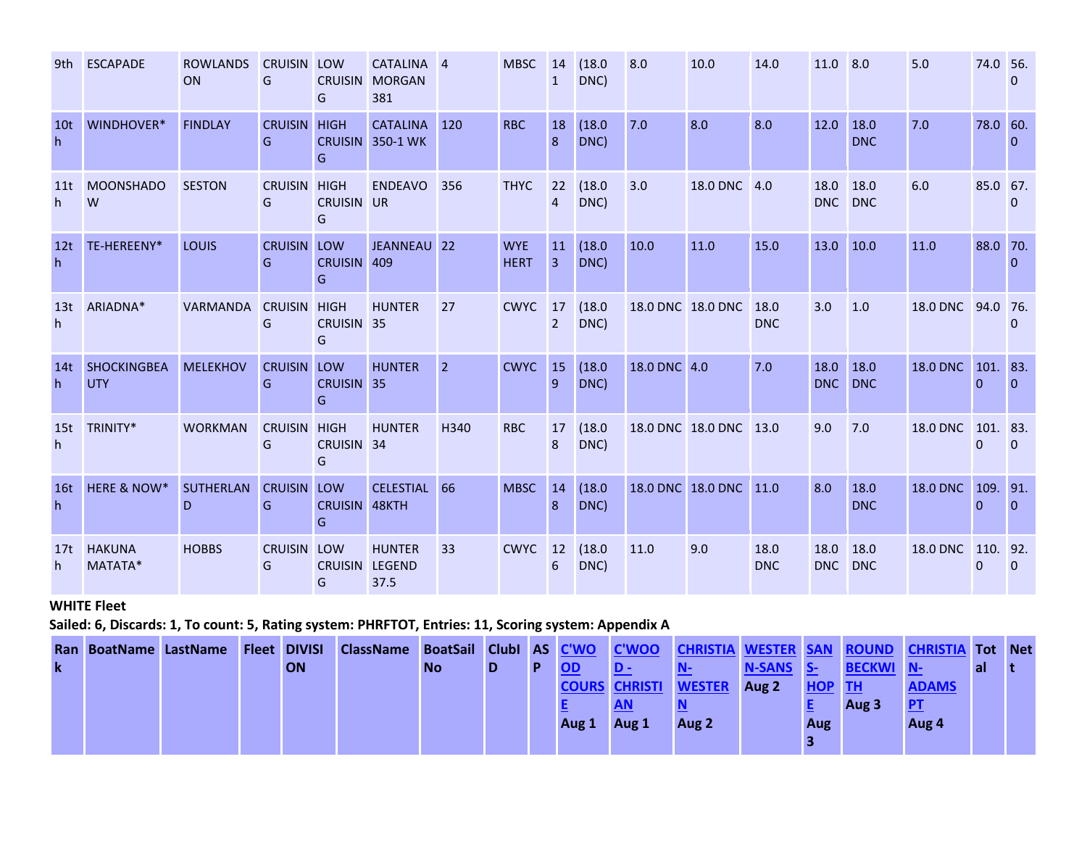| 9th                  | <b>ESCAPADE</b>                  | <b>ROWLANDS</b><br>ON | <b>CRUISIN LOW</b><br>G  | <b>CRUISIN</b><br>G                       | CATALINA 4<br><b>MORGAN</b><br>381  |                | <b>MBSC</b>               | 14<br>$\mathbf{1}$   | (18.0)<br>DNC) | 8.0             | 10.0                   | 14.0               | 11.0        | 8.0                | 5.0             | 74.0 56.             | $\mathbf{0}$    |
|----------------------|----------------------------------|-----------------------|--------------------------|-------------------------------------------|-------------------------------------|----------------|---------------------------|----------------------|----------------|-----------------|------------------------|--------------------|-------------|--------------------|-----------------|----------------------|-----------------|
| 10 <sub>t</sub><br>h | WINDHOVER*                       | <b>FINDLAY</b>        | <b>CRUISIN</b><br>G      | <b>HIGH</b><br>G                          | <b>CATALINA</b><br>CRUISIN 350-1 WK | 120            | <b>RBC</b>                | 18<br>8              | (18.0)<br>DNC) | 7.0             | 8.0                    | 8.0                | 12.0        | 18.0<br><b>DNC</b> | 7.0             | 78.0 60.             | $\theta$        |
| 11t<br>h.            | <b>MOONSHADO</b><br>W            | <b>SESTON</b>         | <b>CRUISIN</b><br>G      | <b>HIGH</b><br><b>CRUISIN UR</b><br>G     | <b>ENDEAVO</b>                      | 356            | <b>THYC</b>               | 22<br>4              | (18.0)<br>DNC) | 3.0             | <b>18.0 DNC</b>        | 4.0                | 18.0<br>DNC | 18.0<br><b>DNC</b> | 6.0             | 85.0 67.             | 0               |
| 12t<br>h             | TE-HEREENY*                      | <b>LOUIS</b>          | <b>CRUISIN LOW</b><br>G  | <b>CRUISIN</b><br>G                       | JEANNEAU 22<br>409                  |                | <b>WYE</b><br><b>HERT</b> | <b>11</b><br>3       | (18.0)<br>DNC) | 10.0            | 11.0                   | 15.0               | 13.0        | 10.0               | 11.0            | 88.0 70.             | $\Omega$        |
| 13t<br>h             | ARIADNA*                         | <b>VARMANDA</b>       | <b>CRUISIN</b><br>G      | <b>HIGH</b><br>CRUISIN <sub>35</sub><br>G | <b>HUNTER</b>                       | 27             | <b>CWYC</b>               | 17<br>$\overline{2}$ | (18.0)<br>DNC) |                 | 18.0 DNC 18.0 DNC      | 18.0<br><b>DNC</b> | 3.0         | 1.0                | 18.0 DNC        | 94.0 76.             | $\Omega$        |
| 14t<br>h             | <b>SHOCKINGBEA</b><br><b>UTY</b> | <b>MELEKHOV</b>       | <b>CRUISIN</b><br>G      | LOW<br>CRUISIN 35<br>G                    | <b>HUNTER</b>                       | $\overline{2}$ | <b>CWYC</b>               | 15<br>$\overline{9}$ | (18.0)<br>DNC) | 18.0 DNC 4.0    |                        | 7.0                | 18.0<br>DNC | 18.0<br><b>DNC</b> | <b>18.0 DNC</b> | 101. 83.<br>$\Omega$ | $\overline{0}$  |
| 15t<br>h             | TRINITY*                         | <b>WORKMAN</b>        | <b>CRUISIN HIGH</b><br>G | CRUISIN 34<br>G                           | <b>HUNTER</b>                       | H340           | <b>RBC</b>                | 17<br>8              | (18.0)<br>DNC) |                 | 18.0 DNC 18.0 DNC 13.0 |                    | 9.0         | 7.0                | <b>18.0 DNC</b> | 101. 83.<br>$\Omega$ | $\Omega$        |
| <b>16t</b><br>h      | <b>HERE &amp; NOW*</b>           | <b>SUTHERLAN</b><br>D | <b>CRUISIN</b><br>G      | LOW<br><b>CRUISIN</b><br>G                | <b>CELESTIAL</b><br>48KTH           | 66             | <b>MBSC</b>               | 14<br>8              | (18.0)<br>DNC) | <b>18.0 DNC</b> | <b>18.0 DNC</b>        | 11.0               | 8.0         | 18.0<br><b>DNC</b> | <b>18.0 DNC</b> | 109.<br>$\Omega$     | 91.<br>$\Omega$ |
| 17t<br>h             | <b>HAKUNA</b><br>MATATA*         | <b>HOBBS</b>          | <b>CRUISIN</b><br>G      | LOW<br><b>CRUISIN LEGEND</b><br>G         | <b>HUNTER</b><br>37.5               | 33             | <b>CWYC</b>               | 12<br>6              | (18.0)<br>DNC) | 11.0            | 9.0                    | 18.0<br><b>DNC</b> | 18.0<br>DNC | 18.0<br><b>DNC</b> | <b>18.0 DNC</b> | 110. 92.<br>$\Omega$ | $\theta$        |

**WHITE Fleet**

**Sailed: 6, Discards: 1, To count: 5, Rating system: PHRFTOT, Entries: 11, Scoring system: Appendix A**

|             | Ran BoatName LastName |  | <b>Fleet DIVISI</b> | ClassName BoatSail ClubI AS C'WO C'WOO |           |  |       |                             | <b>CHRISTIA</b> | <b>WESTER SAN</b> |        |                  | <b>ROUND CHRISTIA Tot Net</b> |           |  |
|-------------|-----------------------|--|---------------------|----------------------------------------|-----------|--|-------|-----------------------------|-----------------|-------------------|--------|------------------|-------------------------------|-----------|--|
| $\mathbf k$ |                       |  | <b>ON</b>           |                                        | <b>No</b> |  |       |                             |                 | N-SANS S-         |        | <b>BECKWI N-</b> |                               | <b>al</b> |  |
|             |                       |  |                     |                                        |           |  |       | <b>COURS CHRISTI WESTER</b> |                 | Aug 2             | HOP TH |                  | <b>ADAMS</b>                  |           |  |
|             |                       |  |                     |                                        |           |  |       |                             |                 |                   |        | Aug 3            | <b>PT</b>                     |           |  |
|             |                       |  |                     |                                        |           |  | Aug 1 | Aug 1                       | Aug 2           |                   | Aug    |                  | Aug 4                         |           |  |
|             |                       |  |                     |                                        |           |  |       |                             |                 |                   |        |                  |                               |           |  |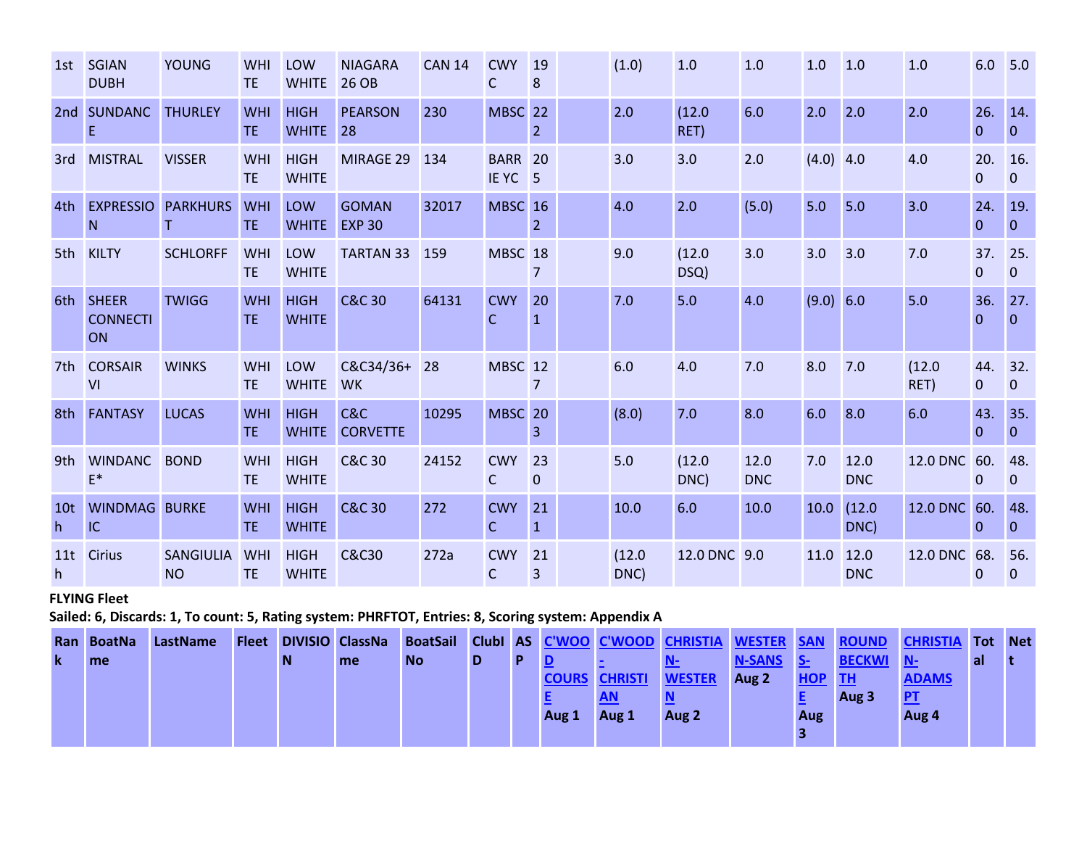|                      | 1st SGIAN<br><b>DUBH</b>              | <b>YOUNG</b>                  | WHI<br><b>TE</b> | LOW<br><b>WHITE</b>         | <b>NIAGARA</b><br>26 OB       | <b>CAN 14</b> | <b>CWY</b><br>C                     | <b>19</b><br>8       | (1.0)          | 1.0            | 1.0                | 1.0         | 1.0                | 1.0            | $6.0$ 5.0           |                     |
|----------------------|---------------------------------------|-------------------------------|------------------|-----------------------------|-------------------------------|---------------|-------------------------------------|----------------------|----------------|----------------|--------------------|-------------|--------------------|----------------|---------------------|---------------------|
| 2nd                  | <b>SUNDANC</b><br>E                   | <b>THURLEY</b>                | WHI<br>TE.       | <b>HIGH</b><br><b>WHITE</b> | <b>PEARSON</b><br> 28         | 230           | <b>MBSC</b>                         | 22<br>2 <sup>1</sup> | 2.0            | (12.0)<br>RET) | 6.0                | 2.0         | 2.0                | 2.0            | 26.<br>$\mathbf{0}$ | 14.<br>$\Omega$     |
| 3rd                  | <b>MISTRAL</b>                        | <b>VISSER</b>                 | WHI<br><b>TE</b> | <b>HIGH</b><br><b>WHITE</b> | MIRAGE 29                     | 134           | <b>BARR 20</b><br>IEYC <sub>5</sub> |                      | 3.0            | 3.0            | 2.0                | $(4.0)$ 4.0 |                    | 4.0            | 20.<br>$\mathbf{0}$ | 16.<br>$\mathbf 0$  |
| 4th                  | <b>EXPRESSIO</b><br>N                 | <b>PARKHURS</b><br>T.         | WHI<br>TE.       | LOW<br><b>WHITE</b>         | <b>GOMAN</b><br><b>EXP 30</b> | 32017         | <b>MBSC</b> 16                      | $\overline{2}$       | 4.0            | 2.0            | (5.0)              | 5.0         | 5.0                | 3.0            | 24.<br>$\theta$     | 19.<br>$\Omega$     |
| 5th                  | <b>KILTY</b>                          | <b>SCHLORFF</b>               | WHI<br><b>TE</b> | LOW<br><b>WHITE</b>         | <b>TARTAN 33</b>              | 159           | MBSC 18                             | $\overline{7}$       | 9.0            | (12.0)<br>DSQ) | 3.0                | 3.0         | 3.0                | 7.0            | 37.<br>$\mathbf{0}$ | 25.<br>$\mathbf{0}$ |
| 6th                  | <b>SHEER</b><br><b>CONNECTI</b><br>ON | <b>TWIGG</b>                  | WHI<br>TE.       | <b>HIGH</b><br><b>WHITE</b> | <b>C&amp;C 30</b>             | 64131         | <b>CWY</b><br>C                     | 20<br>$\mathbf{1}$   | 7.0            | 5.0            | 4.0                | (9.0) 6.0   |                    | 5.0            | 36.<br>$\Omega$     | 27.<br>$\Omega$     |
|                      | 7th CORSAIR<br>VI                     | <b>WINKS</b>                  | WHI<br><b>TE</b> | LOW<br><b>WHITE</b>         | C&C34/36+ 28<br><b>WK</b>     |               | MBSC 12                             | $\overline{7}$       | 6.0            | 4.0            | 7.0                | 8.0         | 7.0                | (12.0)<br>RET) | 44.<br>$\mathbf{0}$ | 32.<br>$\Omega$     |
| 8th                  | <b>FANTASY</b>                        | <b>LUCAS</b>                  | WHI<br>TE.       | <b>HIGH</b><br><b>WHITE</b> | C&C<br><b>CORVETTE</b>        | 10295         | MBSC <sub>20</sub>                  | $\overline{3}$       | (8.0)          | 7.0            | 8.0                | 6.0         | 8.0                | 6.0            | 43.<br>$\theta$     | 35.<br>$\Omega$     |
| 9th                  | <b>WINDANC</b><br>$E^*$               | <b>BOND</b>                   | WHI<br><b>TE</b> | <b>HIGH</b><br><b>WHITE</b> | <b>C&amp;C 30</b>             | 24152         | <b>CWY</b><br>$\mathsf{C}$          | 23<br>$\mathbf 0$    | 5.0            | (12.0)<br>DNC) | 12.0<br><b>DNC</b> | 7.0         | 12.0<br><b>DNC</b> | 12.0 DNC 60.   | $\overline{0}$      | 48.<br>$\mathbf{0}$ |
| 10 <sub>t</sub><br>h | <b>WINDMAG BURKE</b><br>IC            |                               | WHI<br>TE.       | <b>HIGH</b><br><b>WHITE</b> | <b>C&amp;C 30</b>             | 272           | <b>CWY</b><br>C.                    | 21<br>$\mathbf{1}$   | 10.0           | 6.0            | 10.0               | 10.0        | (12.0)<br>DNC)     | 12.0 DNC 60.   | $\overline{0}$      | 48.<br>$\Omega$     |
| 11t<br>h             | <b>Cirius</b>                         | <b>SANGIULIA</b><br><b>NO</b> | WHI<br><b>TE</b> | <b>HIGH</b><br><b>WHITE</b> | <b>C&amp;C30</b>              | 272a          | <b>CWY</b><br>$\mathsf{C}$          | 21<br>$\overline{3}$ | (12.0)<br>DNC) | 12.0 DNC 9.0   |                    | 11.0        | 12.0<br><b>DNC</b> | 12.0 DNC 68.   | $\overline{0}$      | 56.<br>$\mathbf 0$  |

## **FLYING Fleet**

**Sailed: 6, Discards: 1, To count: 5, Rating system: PHRFTOT, Entries: 8, Scoring system: Appendix A**

|             | Ran BoatNa | LastName | <b>Fleet</b> |   | <b>DIVISIO ClassNa</b> |           |   |   |       |                      | BoatSail ClubI AS C'WOO C'WOOD CHRISTIA | <b>WESTER SAN</b> |            |               | <b>ROUND CHRISTIA Tot</b> |     | <b>Net</b> |
|-------------|------------|----------|--------------|---|------------------------|-----------|---|---|-------|----------------------|-----------------------------------------|-------------------|------------|---------------|---------------------------|-----|------------|
| $\mathbf k$ | me         |          |              | N | me                     | <b>No</b> | D | D |       |                      |                                         | N-SANS S-         |            | <b>BECKWI</b> | V N-                      | al. |            |
|             |            |          |              |   |                        |           |   |   |       | <b>COURS CHRISTI</b> | <b>WESTER</b>                           | Aug 2             | <b>HOP</b> | <b>AITH</b>   | <b>ADAMS</b>              |     |            |
|             |            |          |              |   |                        |           |   |   |       | <b>AN</b>            |                                         |                   |            | Aug 3         | P                         |     |            |
|             |            |          |              |   |                        |           |   |   | Aug 1 | Aug 1                | Aug 2                                   |                   | <b>Aug</b> |               | Aug 4                     |     |            |
|             |            |          |              |   |                        |           |   |   |       |                      |                                         |                   |            |               |                           |     |            |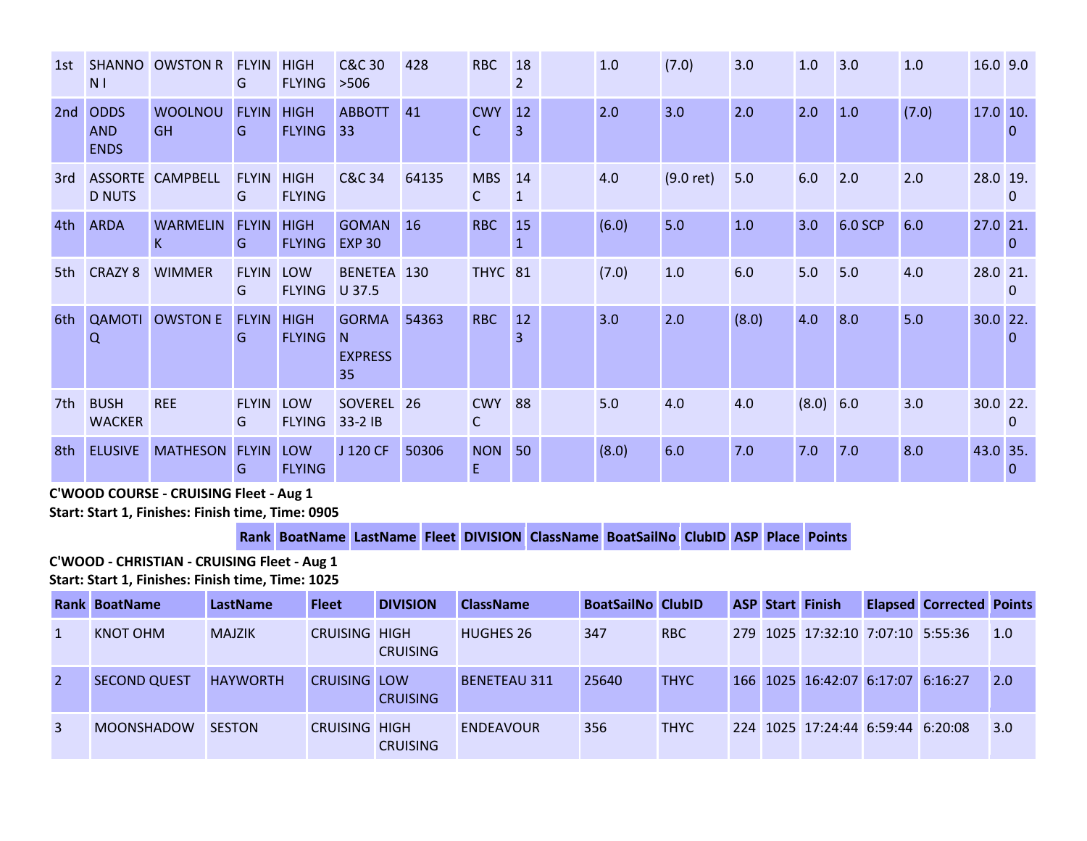| 1st | <b>SHANNO</b><br>N <sub>1</sub>          | <b>OWSTON R</b>             | <b>FLYIN</b><br>G | <b>HIGH</b><br><b>FLYING</b> | <b>C&amp;C 30</b><br>$>506$               | 428       | <b>RBC</b>                 | 18<br>2 | 1.0   | (7.0)       | 3.0   | 1.0       | 3.0     | 1.0   | 16.0 9.0   |          |
|-----|------------------------------------------|-----------------------------|-------------------|------------------------------|-------------------------------------------|-----------|----------------------------|---------|-------|-------------|-------|-----------|---------|-------|------------|----------|
| 2nd | <b>ODDS</b><br><b>AND</b><br><b>ENDS</b> | <b>WOOLNOU</b><br><b>GH</b> | <b>FLYIN</b><br>G | <b>HIGH</b><br><b>FLYING</b> | <b>ABBOTT</b><br>33 <sup>°</sup>          | 41        | <b>CWY</b><br>C            | 12      | 2.0   | 3.0         | 2.0   | 2.0       | 1.0     | (7.0) | $17.0$ 10. | 0        |
| 3rd | <b>D NUTS</b>                            | <b>ASSORTE CAMPBELL</b>     | <b>FLYIN</b><br>G | <b>HIGH</b><br><b>FLYING</b> | <b>C&amp;C 34</b>                         | 64135     | <b>MBS</b><br>$\mathsf{C}$ | 14<br>1 | 4.0   | $(9.0$ ret) | 5.0   | 6.0       | 2.0     | 2.0   | 28.0 19.   | $\Omega$ |
| 4th | <b>ARDA</b>                              | <b>WARMELIN</b><br>K.       | <b>FLYIN</b><br>G | <b>HIGH</b><br><b>FLYING</b> | <b>GOMAN</b><br><b>EXP 30</b>             | <b>16</b> | <b>RBC</b>                 | 15      | (6.0) | 5.0         | 1.0   | 3.0       | 6.0 SCP | 6.0   | 27.0 21.   | $\Omega$ |
| 5th | <b>CRAZY 8</b>                           | <b>WIMMER</b>               | <b>FLYIN</b><br>G | LOW<br><b>FLYING</b>         | BENETEA 130<br>U 37.5                     |           | <b>THYC</b> 81             |         | (7.0) | 1.0         | 6.0   | 5.0       | 5.0     | 4.0   | 28.0 21.   | 0        |
| 6th | <b>QAMOTI</b><br>$\Omega$                | <b>OWSTON E</b>             | <b>FLYIN</b><br>G | <b>HIGH</b><br><b>FLYING</b> | <b>GORMA</b><br>N<br><b>EXPRESS</b><br>35 | 54363     | <b>RBC</b>                 | 12      | 3.0   | 2.0         | (8.0) | 4.0       | 8.0     | 5.0   | $30.0$ 22. | $\Omega$ |
| 7th | <b>BUSH</b><br><b>WACKER</b>             | <b>REE</b>                  | <b>FLYIN</b><br>G | LOW<br><b>FLYING</b>         | SOVEREL 26<br>33-2 IB                     |           | <b>CWY</b><br>$\mathsf{C}$ | 88      | 5.0   | 4.0         | 4.0   | (8.0) 6.0 |         | 3.0   | 30.0 22.   | $\Omega$ |
| 8th | <b>ELUSIVE</b>                           | MATHESON FLYIN              | G                 | <b>LOW</b><br><b>FLYING</b>  | J 120 CF                                  | 50306     | <b>NON</b><br>E            | 50      | (8.0) | 6.0         | 7.0   | 7.0       | 7.0     | 8.0   | 43.0 35.   | 0        |

**C'WOOD COURSE - CRUISING Fleet - Aug 1 Start: Start 1, Finishes: Finish time, Time: 0905** 

### **Rank BoatName LastName Fleet DIVISION ClassName BoatSailNo ClubID ASP Place Points**

**C'WOOD - CHRISTIAN - CRUISING Fleet - Aug 1 Start: Start 1, Finishes: Finish time, Time: 1025** 

|   | <b>Rank BoatName</b> | LastName        | <b>Fleet</b>         | <b>DIVISION</b> | <b>ClassName</b>    | <b>BoatSailNo ClubID</b> |             |  | <b>ASP Start Finish</b>           | <b>Elapsed Corrected Points</b> |                   |
|---|----------------------|-----------------|----------------------|-----------------|---------------------|--------------------------|-------------|--|-----------------------------------|---------------------------------|-------------------|
|   | KNOT OHM             | <b>MAJZIK</b>   | <b>CRUISING HIGH</b> | <b>CRUISING</b> | <b>HUGHES 26</b>    | 347                      | RBC         |  | 279 1025 17:32:10 7:07:10 5:55:36 |                                 | $\vert 1.0 \vert$ |
| 2 | <b>SECOND QUEST</b>  | <b>HAYWORTH</b> | CRUISING LOW         | <b>CRUISING</b> | <b>BENETEAU 311</b> | 25640                    | <b>THYC</b> |  | 166 1025 16:42:07 6:17:07 6:16:27 |                                 | 2.0               |
| 3 | <b>MOONSHADOW</b>    | <b>SESTON</b>   | <b>CRUISING HIGH</b> | <b>CRUISING</b> | <b>ENDEAVOUR</b>    | 356                      | <b>THYC</b> |  | 224 1025 17:24:44 6:59:44 6:20:08 |                                 | 3.0               |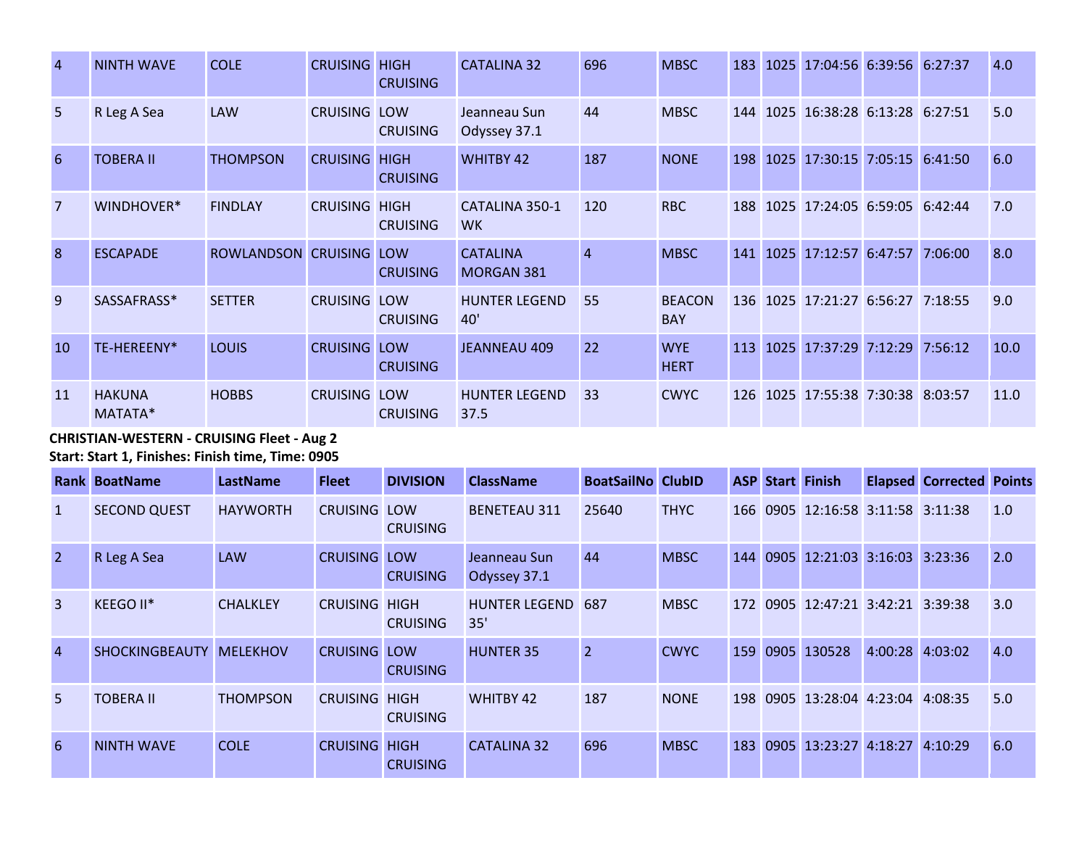| $\overline{4}$ | <b>NINTH WAVE</b>        | <b>COLE</b>         | <b>CRUISING</b>      | <b>HIGH</b><br><b>CRUISING</b> | <b>CATALINA 32</b>            | 696            | <b>MBSC</b>                 | 183        | 1025 | 17:04:56 6:39:56              | 6:27:37 | 4.0  |
|----------------|--------------------------|---------------------|----------------------|--------------------------------|-------------------------------|----------------|-----------------------------|------------|------|-------------------------------|---------|------|
| 5              | R Leg A Sea              | <b>LAW</b>          | <b>CRUISING LOW</b>  | <b>CRUISING</b>                | Jeanneau Sun<br>Odyssey 37.1  | 44             | <b>MBSC</b>                 | 144        |      | 1025 16:38:28 6:13:28 6:27:51 |         | 5.0  |
| 6              | <b>TOBERA II</b>         | <b>THOMPSON</b>     | <b>CRUISING HIGH</b> | <b>CRUISING</b>                | <b>WHITBY 42</b>              | 187            | <b>NONE</b>                 | 198        |      | 1025 17:30:15 7:05:15         | 6:41:50 | 6.0  |
| $\overline{7}$ | WINDHOVER*               | <b>FINDLAY</b>      | <b>CRUISING HIGH</b> | <b>CRUISING</b>                | CATALINA 350-1<br><b>WK</b>   | 120            | <b>RBC</b>                  | 188        |      | 1025 17:24:05 6:59:05         | 6:42:44 | 7.0  |
| $\mathbf{8}$   | <b>ESCAPADE</b>          | ROWLANDSON CRUISING |                      | LOW<br><b>CRUISING</b>         | <b>CATALINA</b><br>MORGAN 381 | $\overline{4}$ | <b>MBSC</b>                 | 141        | 1025 | 17:12:57 6:47:57              | 7:06:00 | 8.0  |
| 9              | SASSAFRASS*              | <b>SETTER</b>       | <b>CRUISING LOW</b>  | <b>CRUISING</b>                | <b>HUNTER LEGEND</b><br>40'   | 55             | <b>BEACON</b><br><b>BAY</b> | 136        |      | 1025 17:21:27 6:56:27         | 7:18:55 | 9.0  |
| <sup>10</sup>  | TE-HEREENY*              | <b>LOUIS</b>        | <b>CRUISING LOW</b>  | <b>CRUISING</b>                | <b>JEANNEAU 409</b>           | 22             | <b>WYE</b><br><b>HERT</b>   | 113        |      | 1025 17:37:29 7:12:29         | 7:56:12 | 10.0 |
| 11             | <b>HAKUNA</b><br>MATATA* | <b>HOBBS</b>        | <b>CRUISING LOW</b>  | <b>CRUISING</b>                | <b>HUNTER LEGEND</b><br>37.5  | 33             | <b>CWYC</b>                 | <b>126</b> |      | 1025 17:55:38 7:30:38 8:03:57 |         | 11.0 |

**CHRISTIAN-WESTERN - CRUISING Fleet - Aug 2 Start: Start 1, Finishes: Finish time, Time: 0905** 

|                | <b>Rank BoatName</b>  | <b>LastName</b> | <b>Fleet</b>         | <b>DIVISION</b> | <b>ClassName</b>             | <b>BoatSailNo ClubID</b> |             |     |      | <b>ASP Start Finish</b>           |                 | <b>Elapsed Corrected Points</b> |     |
|----------------|-----------------------|-----------------|----------------------|-----------------|------------------------------|--------------------------|-------------|-----|------|-----------------------------------|-----------------|---------------------------------|-----|
| $\mathbf{1}$   | <b>SECOND QUEST</b>   | <b>HAYWORTH</b> | <b>CRUISING LOW</b>  | <b>CRUISING</b> | <b>BENETEAU 311</b>          | 25640                    | <b>THYC</b> |     |      | 166 0905 12:16:58 3:11:58 3:11:38 |                 |                                 | 1.0 |
| $\overline{2}$ | R Leg A Sea           | <b>LAW</b>      | <b>CRUISING LOW</b>  | <b>CRUISING</b> | Jeanneau Sun<br>Odyssey 37.1 | 44                       | <b>MBSC</b> | 144 |      | 0905 12:21:03 3:16:03 3:23:36     |                 |                                 | 2.0 |
| $\overline{3}$ | KEEGO II*             | <b>CHALKLEY</b> | <b>CRUISING HIGH</b> | <b>CRUISING</b> | <b>HUNTER LEGEND</b><br>35'  | 687                      | <b>MBSC</b> | 172 |      | 0905 12:47:21 3:42:21 3:39:38     |                 |                                 | 3.0 |
| $\overline{4}$ | <b>SHOCKINGBEAUTY</b> | <b>MELEKHOV</b> | <b>CRUISING LOW</b>  | <b>CRUISING</b> | <b>HUNTER 35</b>             | $\overline{2}$           | <b>CWYC</b> | 159 | 0905 | 130528                            | 4:00:28 4:03:02 |                                 | 4.0 |
| 5              | <b>TOBERA II</b>      | <b>THOMPSON</b> | <b>CRUISING HIGH</b> | <b>CRUISING</b> | <b>WHITBY 42</b>             | 187                      | <b>NONE</b> | 198 |      | 0905 13:28:04 4:23:04 4:08:35     |                 |                                 | 5.0 |
| 6              | <b>NINTH WAVE</b>     | <b>COLE</b>     | <b>CRUISING HIGH</b> | <b>CRUISING</b> | <b>CATALINA 32</b>           | 696                      | <b>MBSC</b> | 183 |      | 0905 13:23:27 4:18:27 4:10:29     |                 |                                 | 6.0 |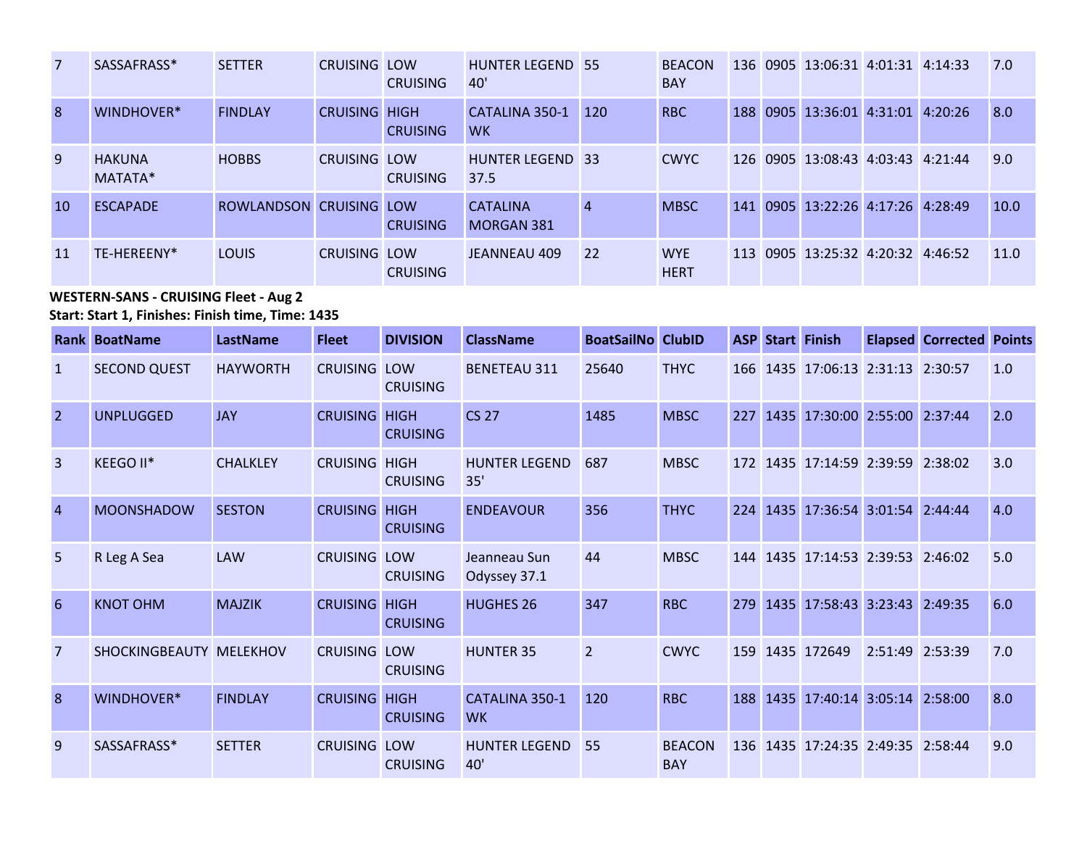| 7  | SASSAFRASS*              | <b>SETTER</b>           | <b>CRUISING LOW</b>  | <b>CRUISING</b> | <b>HUNTER LEGEND 55</b><br>40'  |                | <b>BEACON</b><br><b>BAY</b> |              | 136 0905 13:06:31 4:01:31 4:14:33 |  | 7.0  |
|----|--------------------------|-------------------------|----------------------|-----------------|---------------------------------|----------------|-----------------------------|--------------|-----------------------------------|--|------|
| 8  | WINDHOVER*               | <b>FINDLAY</b>          | <b>CRUISING HIGH</b> | <b>CRUISING</b> | CATALINA 350-1<br><b>WK</b>     | 120            | <b>RBC</b>                  | 188          | 0905 13:36:01 4:31:01 4:20:26     |  | 8.0  |
| 9  | <b>HAKUNA</b><br>MATATA* | <b>HOBBS</b>            | <b>CRUISING LOW</b>  | <b>CRUISING</b> | <b>HUNTER LEGEND 33</b><br>37.5 |                | <b>CWYC</b>                 | <u>126  </u> | 0905 13:08:43 4:03:43 4:21:44     |  | 9.0  |
| 10 | <b>FSCAPADE</b>          | ROWLANDSON CRUISING LOW |                      | <b>CRUISING</b> | <b>CATALINA</b><br>MORGAN 381   | $\overline{4}$ | <b>MBSC</b>                 | 141          | 0905 13:22:26 4:17:26 4:28:49     |  | 10.0 |
| 11 | TF-HFRFFNY*              | <b>LOUIS</b>            | <b>CRUISING LOW</b>  | <b>CRUISING</b> | JEANNEAU 409                    | 22             | <b>WYE</b><br><b>HERT</b>   | 113          | 0905 13:25:32 4:20:32 4:46:52     |  | 11.0 |

**WESTERN-SANS - CRUISING Fleet - Aug 2 Start: Start 1, Finishes: Finish time, Time: 1435** 

|                | <b>Rank BoatName</b>    | LastName        | <b>Fleet</b>         | <b>DIVISION</b> | <b>ClassName</b>                   | <b>BoatSailNo ClubID</b> |                             | <b>ASP</b> | <b>Start Finish</b>               |                 | <b>Elapsed Corrected Points</b> |     |
|----------------|-------------------------|-----------------|----------------------|-----------------|------------------------------------|--------------------------|-----------------------------|------------|-----------------------------------|-----------------|---------------------------------|-----|
| $\mathbf{1}$   | <b>SECOND QUEST</b>     | <b>HAYWORTH</b> | <b>CRUISING LOW</b>  | <b>CRUISING</b> | <b>BENETEAU 311</b>                | 25640                    | <b>THYC</b>                 | 166        | 1435 17:06:13 2:31:13 2:30:57     |                 |                                 | 1.0 |
| $\overline{2}$ | <b>UNPLUGGED</b>        | <b>JAY</b>      | <b>CRUISING HIGH</b> | <b>CRUISING</b> | <b>CS 27</b>                       | 1485                     | <b>MBSC</b>                 | 227        | 1435 17:30:00 2:55:00 2:37:44     |                 |                                 | 2.0 |
| $\overline{3}$ | KEEGO II*               | <b>CHALKLEY</b> | <b>CRUISING HIGH</b> | <b>CRUISING</b> | <b>HUNTER LEGEND</b><br>35'        | 687                      | <b>MBSC</b>                 |            | 172 1435 17:14:59 2:39:59 2:38:02 |                 |                                 | 3.0 |
| $\overline{4}$ | <b>MOONSHADOW</b>       | <b>SESTON</b>   | <b>CRUISING HIGH</b> | <b>CRUISING</b> | <b>ENDEAVOUR</b>                   | 356                      | <b>THYC</b>                 | 224        | 1435 17:36:54 3:01:54 2:44:44     |                 |                                 | 4.0 |
| 5              | R Leg A Sea             | <b>LAW</b>      | <b>CRUISING LOW</b>  | <b>CRUISING</b> | Jeanneau Sun<br>Odyssey 37.1       | 44                       | <b>MBSC</b>                 | 144        | 1435 17:14:53 2:39:53 2:46:02     |                 |                                 | 5.0 |
| 6              | <b>KNOT OHM</b>         | <b>MAJZIK</b>   | <b>CRUISING HIGH</b> | <b>CRUISING</b> | <b>HUGHES 26</b>                   | 347                      | <b>RBC</b>                  | 279        | 1435 17:58:43 3:23:43 2:49:35     |                 |                                 | 6.0 |
| $\overline{7}$ | SHOCKINGBEAUTY MELEKHOV |                 | <b>CRUISING LOW</b>  | <b>CRUISING</b> | <b>HUNTER 35</b>                   | $\overline{2}$           | <b>CWYC</b>                 | 159        | 1435 172649                       | 2:51:49 2:53:39 |                                 | 7.0 |
| 8              | WINDHOVER*              | <b>FINDLAY</b>  | <b>CRUISING HIGH</b> | <b>CRUISING</b> | <b>CATALINA 350-1</b><br><b>WK</b> | 120                      | <b>RBC</b>                  | 188        | 1435 17:40:14 3:05:14 2:58:00     |                 |                                 | 8.0 |
| 9              | SASSAFRASS*             | <b>SETTER</b>   | <b>CRUISING LOW</b>  | <b>CRUISING</b> | <b>HUNTER LEGEND</b><br>40'        | 55                       | <b>BEACON</b><br><b>BAY</b> |            | 136 1435 17:24:35 2:49:35 2:58:44 |                 |                                 | 9.0 |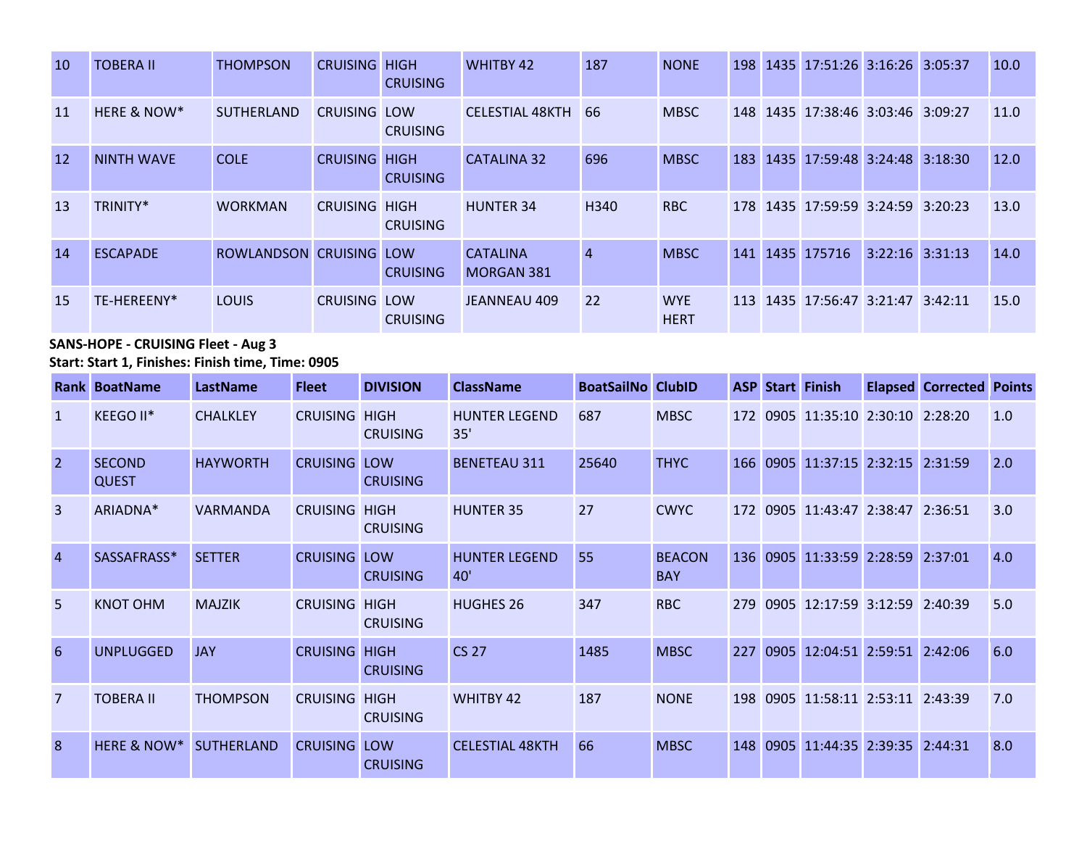| <sup>10</sup> | <b>TOBERA II</b>       | <b>THOMPSON</b>   | <b>CRUISING HIGH</b> | <b>CRUISING</b> | <b>WHITBY 42</b>                     | 187              | <b>NONE</b>               |     | 198 1435 17:51:26 3:16:26 3:05:37 |                     | 10.0 |
|---------------|------------------------|-------------------|----------------------|-----------------|--------------------------------------|------------------|---------------------------|-----|-----------------------------------|---------------------|------|
| <b>11</b>     | <b>HERE &amp; NOW*</b> | <b>SUTHERLAND</b> | <b>CRUISING LOW</b>  | <b>CRUISING</b> | <b>CELESTIAL 48KTH</b>               | 66               | <b>MBSC</b>               |     | 148 1435 17:38:46 3:03:46 3:09:27 |                     | 11.0 |
| <b>12</b>     | <b>NINTH WAVE</b>      | <b>COLE</b>       | <b>CRUISING HIGH</b> | <b>CRUISING</b> | <b>CATALINA 32</b>                   | 696              | <b>MBSC</b>               | 183 | 1435 17:59:48 3:24:48 3:18:30     |                     | 12.0 |
| 13            | TRINITY*               | <b>WORKMAN</b>    | <b>CRUISING HIGH</b> | <b>CRUISING</b> | <b>HUNTER 34</b>                     | H <sub>340</sub> | <b>RBC</b>                |     | 178 1435 17:59:59 3:24:59 3:20:23 |                     | 13.0 |
| 14            | <b>ESCAPADE</b>        | <b>ROWLANDSON</b> | <b>CRUISING LOW</b>  | <b>CRUISING</b> | <b>CATALINA</b><br><b>MORGAN 381</b> | $\overline{4}$   | <b>MBSC</b>               |     | 141 1435 175716                   | $3:22:16$ $3:31:13$ | 14.0 |
| 15            | TE-HEREENY*            | <b>LOUIS</b>      | <b>CRUISING LOW</b>  | <b>CRUISING</b> | JEANNEAU 409                         | 22               | <b>WYE</b><br><b>HERT</b> | 113 | 1435 17:56:47 3:21:47 3:42:11     |                     | 15.0 |

# **SANS-HOPE - CRUISING Fleet - Aug 3**

**Start: Start 1, Finishes: Finish time, Time: 0905** 

|                | <b>Rank BoatName</b>          | <b>LastName</b>   | <b>Fleet</b>    | <b>DIVISION</b>                | <b>ClassName</b>            | <b>BoatSailNo ClubID</b> |                             |     |      | <b>ASP Start Finish</b>           | <b>Elapsed Corrected Points</b> |     |
|----------------|-------------------------------|-------------------|-----------------|--------------------------------|-----------------------------|--------------------------|-----------------------------|-----|------|-----------------------------------|---------------------------------|-----|
| $\mathbf{1}$   | KEEGO II*                     | <b>CHALKLEY</b>   | <b>CRUISING</b> | <b>HIGH</b><br><b>CRUISING</b> | <b>HUNTER LEGEND</b><br>35' | 687                      | <b>MBSC</b>                 |     |      | 172 0905 11:35:10 2:30:10 2:28:20 |                                 | 1.0 |
| $\overline{2}$ | <b>SECOND</b><br><b>QUEST</b> | <b>HAYWORTH</b>   | <b>CRUISING</b> | LOW<br><b>CRUISING</b>         | <b>BENETEAU 311</b>         | 25640                    | <b>THYC</b>                 | 166 |      | 0905 11:37:15 2:32:15 2:31:59     |                                 | 2.0 |
| $\overline{3}$ | ARIADNA*                      | VARMANDA          | <b>CRUISING</b> | <b>HIGH</b><br><b>CRUISING</b> | <b>HUNTER 35</b>            | 27                       | <b>CWYC</b>                 |     |      | 172 0905 11:43:47 2:38:47 2:36:51 |                                 | 3.0 |
| $\overline{4}$ | SASSAFRASS*                   | <b>SETTER</b>     | <b>CRUISING</b> | LOW<br><b>CRUISING</b>         | <b>HUNTER LEGEND</b><br>40' | 55                       | <b>BEACON</b><br><b>BAY</b> |     |      | 136 0905 11:33:59 2:28:59 2:37:01 |                                 | 4.0 |
| 5              | <b>KNOT OHM</b>               | <b>MAJZIK</b>     | <b>CRUISING</b> | <b>HIGH</b><br><b>CRUISING</b> | <b>HUGHES 26</b>            | 347                      | <b>RBC</b>                  | 279 |      | 0905 12:17:59 3:12:59 2:40:39     |                                 | 5.0 |
| 6              | <b>UNPLUGGED</b>              | <b>JAY</b>        | <b>CRUISING</b> | <b>HIGH</b><br><b>CRUISING</b> | <b>CS 27</b>                | 1485                     | <b>MBSC</b>                 |     |      | 227 0905 12:04:51 2:59:51 2:42:06 |                                 | 6.0 |
| 7              | <b>TOBERA II</b>              | <b>THOMPSON</b>   | <b>CRUISING</b> | <b>HIGH</b><br><b>CRUISING</b> | <b>WHITBY 42</b>            | 187                      | <b>NONE</b>                 | 198 |      | 0905 11:58:11 2:53:11 2:43:39     |                                 | 7.0 |
| $\mathbf{8}$   | HERE & NOW*                   | <b>SUTHERLAND</b> | <b>CRUISING</b> | LOW<br><b>CRUISING</b>         | <b>CELESTIAL 48KTH</b>      | 66                       | <b>MBSC</b>                 | 148 | 0905 | 11:44:35 2:39:35 2:44:31          |                                 | 8.0 |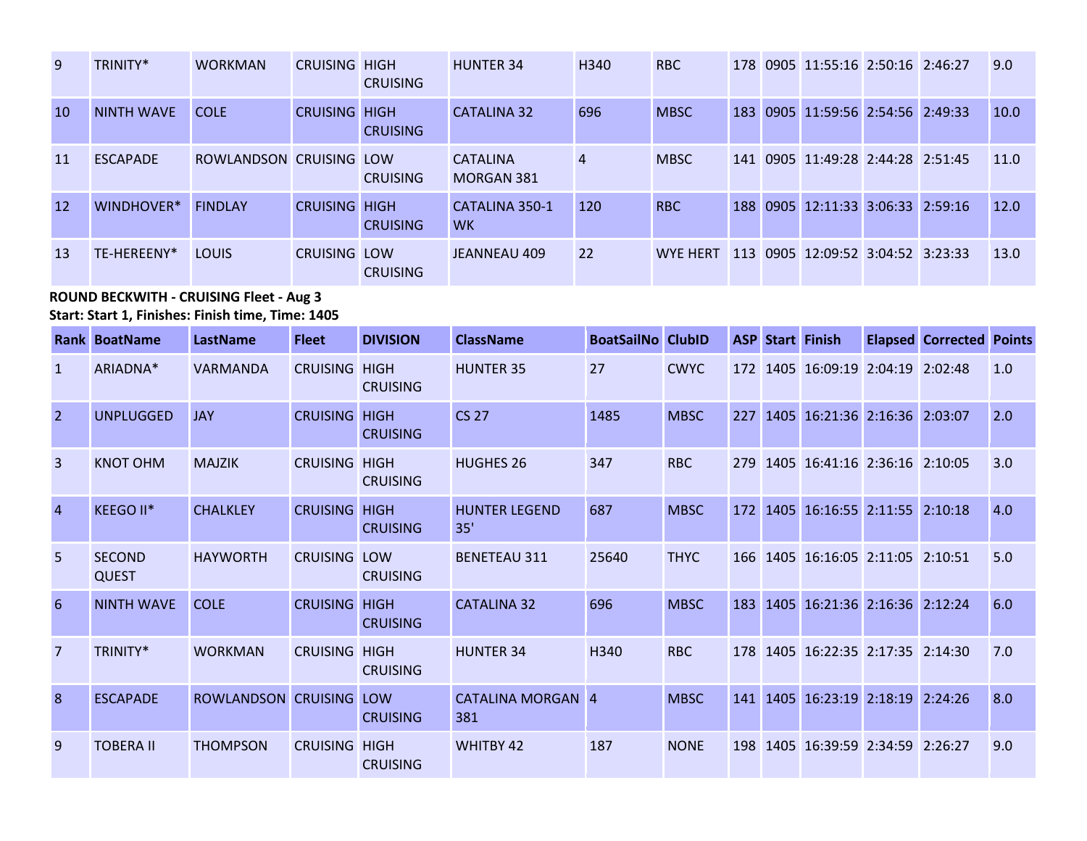| 9             | TRINITY*          | <b>WORKMAN</b>          | <b>CRUISING HIGH</b> | <b>CRUISING</b> | <b>HUNTER 34</b>                     | H340           | <b>RBC</b>      |  | 178 0905 11:55:16 2:50:16 2:46:27 |  | 9.0  |
|---------------|-------------------|-------------------------|----------------------|-----------------|--------------------------------------|----------------|-----------------|--|-----------------------------------|--|------|
| <sup>10</sup> | <b>NINTH WAVE</b> | <b>COLE</b>             | <b>CRUISING HIGH</b> | <b>CRUISING</b> | <b>CATALINA 32</b>                   | 696            | <b>MBSC</b>     |  | 183 0905 11:59:56 2:54:56 2:49:33 |  | 10.0 |
| 11            | <b>ESCAPADE</b>   | ROWLANDSON CRUISING LOW |                      | <b>CRUISING</b> | <b>CATALINA</b><br><b>MORGAN 381</b> | $\overline{4}$ | <b>MBSC</b>     |  | 141 0905 11:49:28 2:44:28 2:51:45 |  | 11.0 |
| 12            | WINDHOVER*        | <b>FINDLAY</b>          | <b>CRUISING HIGH</b> | <b>CRUISING</b> | CATALINA 350-1<br><b>WK</b>          | 120            | <b>RBC</b>      |  | 188 0905 12:11:33 3:06:33 2:59:16 |  | 12.0 |
| 13            | TF-HFRFFNY*       | <b>LOUIS</b>            | <b>CRUISING LOW</b>  | <b>CRUISING</b> | JEANNEAU 409                         | 22             | <b>WYF HFRT</b> |  | 113 0905 12:09:52 3:04:52 3:23:33 |  | 13.0 |

**ROUND BECKWITH - CRUISING Fleet - Aug 3 Start: Start 1, Finishes: Finish time, Time: 1405** 

|                | Rank BoatName                 | LastName            | <b>Fleet</b>    | <b>DIVISION</b>                | <b>ClassName</b>                | <b>BoatSailNo</b> | <b>ClubID</b> | <b>ASP</b> |      | <b>Start Finish</b>           | <b>Elapsed Corrected Points</b> |     |
|----------------|-------------------------------|---------------------|-----------------|--------------------------------|---------------------------------|-------------------|---------------|------------|------|-------------------------------|---------------------------------|-----|
| $\mathbf{1}$   | ARIADNA*                      | <b>VARMANDA</b>     | <b>CRUISING</b> | <b>HIGH</b><br><b>CRUISING</b> | <b>HUNTER 35</b>                | 27                | <b>CWYC</b>   | 172        |      | 1405 16:09:19 2:04:19 2:02:48 |                                 | 1.0 |
| $\overline{2}$ | <b>UNPLUGGED</b>              | <b>JAY</b>          | <b>CRUISING</b> | <b>HIGH</b><br><b>CRUISING</b> | <b>CS 27</b>                    | 1485              | <b>MBSC</b>   | 227        |      | 1405 16:21:36 2:16:36 2:03:07 |                                 | 2.0 |
| $\overline{3}$ | <b>KNOT OHM</b>               | <b>MAJZIK</b>       | <b>CRUISING</b> | <b>HIGH</b><br><b>CRUISING</b> | <b>HUGHES 26</b>                | 347               | <b>RBC</b>    | 279        | 1405 | 16:41:16 2:36:16 2:10:05      |                                 | 3.0 |
| $\overline{4}$ | KEEGO II*                     | <b>CHALKLEY</b>     | <b>CRUISING</b> | <b>HIGH</b><br><b>CRUISING</b> | <b>HUNTER LEGEND</b><br>35'     | 687               | <b>MBSC</b>   | 172        | 1405 | 16:16:55 2:11:55 2:10:18      |                                 | 4.0 |
| 5              | <b>SECOND</b><br><b>QUEST</b> | <b>HAYWORTH</b>     | <b>CRUISING</b> | LOW<br><b>CRUISING</b>         | <b>BENETEAU 311</b>             | 25640             | <b>THYC</b>   | 166        |      | 1405 16:16:05 2:11:05 2:10:51 |                                 | 5.0 |
| 6              | <b>NINTH WAVE</b>             | <b>COLE</b>         | <b>CRUISING</b> | <b>HIGH</b><br><b>CRUISING</b> | <b>CATALINA 32</b>              | 696               | <b>MBSC</b>   | 183        |      | 1405 16:21:36 2:16:36 2:12:24 |                                 | 6.0 |
| $\overline{7}$ | TRINITY*                      | <b>WORKMAN</b>      | <b>CRUISING</b> | <b>HIGH</b><br><b>CRUISING</b> | <b>HUNTER 34</b>                | H340              | <b>RBC</b>    | 178        |      | 1405 16:22:35 2:17:35 2:14:30 |                                 | 7.0 |
| 8 <sup>°</sup> | <b>ESCAPADE</b>               | ROWLANDSON CRUISING |                 | LOW<br><b>CRUISING</b>         | <b>CATALINA MORGAN 4</b><br>381 |                   | <b>MBSC</b>   | 141        | 1405 | 16:23:19 2:18:19 2:24:26      |                                 | 8.0 |
| 9              | <b>TOBERA II</b>              | <b>THOMPSON</b>     | <b>CRUISING</b> | <b>HIGH</b><br><b>CRUISING</b> | <b>WHITBY 42</b>                | 187               | <b>NONE</b>   | 198        |      | 1405 16:39:59 2:34:59 2:26:27 |                                 | 9.0 |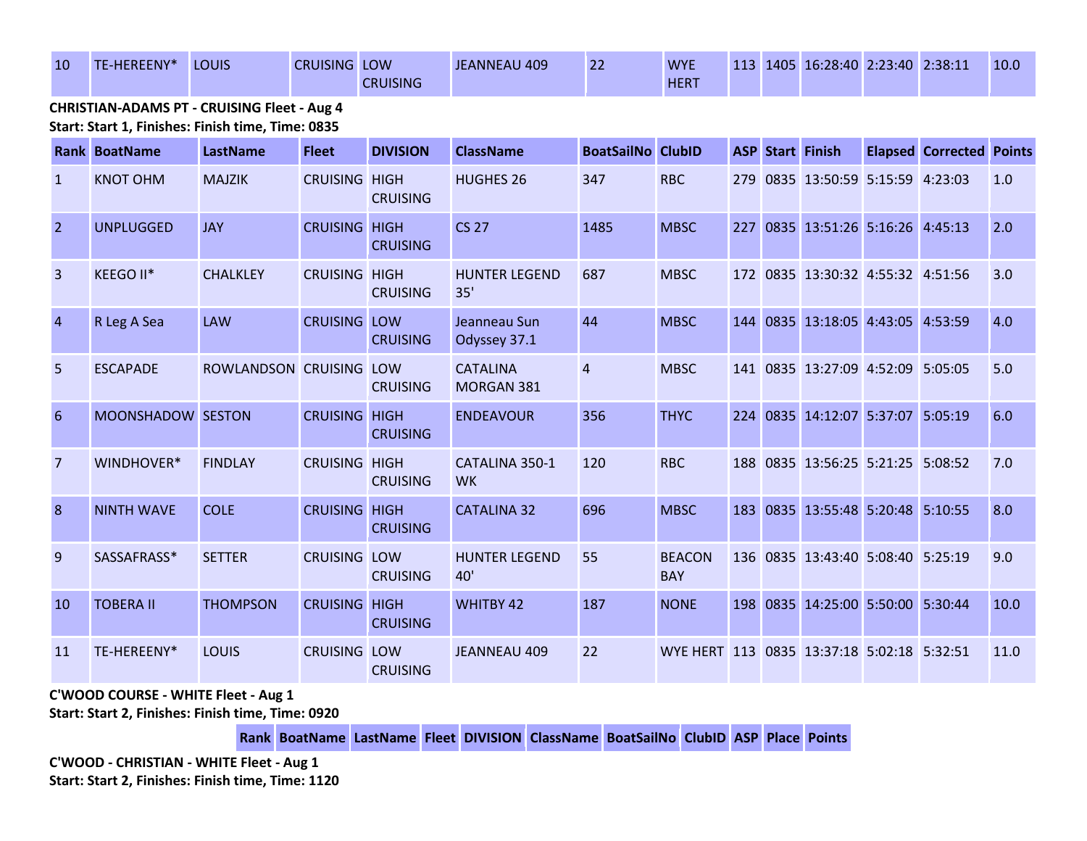| 10 | TE-HEREENY* | LOUIS          | <b>CRUISING LOW</b> | <b>CRUISING</b> | JEANNEAU 409 | ົາາ<br>ᅩ | <b>WYE</b><br><b>HERT</b> |  | 113 1405 16:28:40 2:23:40 2:38:11 |  | 10.0 |
|----|-------------|----------------|---------------------|-----------------|--------------|----------|---------------------------|--|-----------------------------------|--|------|
|    |             | $\blacksquare$ |                     |                 |              |          |                           |  |                                   |  |      |

**CHRISTIAN-ADAMS PT - CRUISING Fleet - Aug 4 Start: Start 1, Finishes: Finish time, Time: 0835** 

|                | <b>Rank BoatName</b> | LastName                | <b>Fleet</b>         | <b>DIVISION</b> | <b>ClassName</b>              | <b>BoatSailNo ClubID</b> |                                            |  | <b>ASP Start Finish</b>           | <b>Elapsed Corrected Points</b> |      |
|----------------|----------------------|-------------------------|----------------------|-----------------|-------------------------------|--------------------------|--------------------------------------------|--|-----------------------------------|---------------------------------|------|
| $\mathbf{1}$   | <b>KNOT OHM</b>      | <b>MAJZIK</b>           | <b>CRUISING HIGH</b> | <b>CRUISING</b> | <b>HUGHES 26</b>              | 347                      | <b>RBC</b>                                 |  | 279 0835 13:50:59 5:15:59 4:23:03 |                                 | 1.0  |
| $\overline{2}$ | <b>UNPLUGGED</b>     | <b>JAY</b>              | <b>CRUISING HIGH</b> | <b>CRUISING</b> | <b>CS 27</b>                  | 1485                     | <b>MBSC</b>                                |  | 227 0835 13:51:26 5:16:26 4:45:13 |                                 | 2.0  |
| $\overline{3}$ | KEEGO II*            | <b>CHALKLEY</b>         | <b>CRUISING HIGH</b> | <b>CRUISING</b> | <b>HUNTER LEGEND</b><br>35'   | 687                      | <b>MBSC</b>                                |  | 172 0835 13:30:32 4:55:32 4:51:56 |                                 | 3.0  |
| $\overline{4}$ | R Leg A Sea          | <b>LAW</b>              | <b>CRUISING LOW</b>  | <b>CRUISING</b> | Jeanneau Sun<br>Odyssey 37.1  | 44                       | <b>MBSC</b>                                |  | 144 0835 13:18:05 4:43:05 4:53:59 |                                 | 4.0  |
| 5              | <b>ESCAPADE</b>      | ROWLANDSON CRUISING LOW |                      | <b>CRUISING</b> | <b>CATALINA</b><br>MORGAN 381 | $\overline{4}$           | <b>MBSC</b>                                |  | 141 0835 13:27:09 4:52:09 5:05:05 |                                 | 5.0  |
| 6              | MOONSHADOW SESTON    |                         | <b>CRUISING HIGH</b> | <b>CRUISING</b> | <b>ENDEAVOUR</b>              | 356                      | <b>THYC</b>                                |  | 224 0835 14:12:07 5:37:07 5:05:19 |                                 | 6.0  |
| 7              | WINDHOVER*           | <b>FINDLAY</b>          | <b>CRUISING HIGH</b> | <b>CRUISING</b> | CATALINA 350-1<br><b>WK</b>   | 120                      | <b>RBC</b>                                 |  | 188 0835 13:56:25 5:21:25 5:08:52 |                                 | 7.0  |
| 8              | <b>NINTH WAVE</b>    | <b>COLE</b>             | <b>CRUISING HIGH</b> | <b>CRUISING</b> | <b>CATALINA 32</b>            | 696                      | <b>MBSC</b>                                |  | 183 0835 13:55:48 5:20:48 5:10:55 |                                 | 8.0  |
| 9              | SASSAFRASS*          | <b>SETTER</b>           | <b>CRUISING LOW</b>  | <b>CRUISING</b> | <b>HUNTER LEGEND</b><br>40'   | 55                       | <b>BEACON</b><br><b>BAY</b>                |  | 136 0835 13:43:40 5:08:40 5:25:19 |                                 | 9.0  |
| <b>10</b>      | <b>TOBERA II</b>     | <b>THOMPSON</b>         | <b>CRUISING HIGH</b> | <b>CRUISING</b> | <b>WHITBY 42</b>              | 187                      | <b>NONE</b>                                |  | 198 0835 14:25:00 5:50:00 5:30:44 |                                 | 10.0 |
| <b>11</b>      | TE-HEREENY*          | LOUIS                   | <b>CRUISING LOW</b>  | <b>CRUISING</b> | <b>JEANNEAU 409</b>           | 22                       | WYE HERT 113 0835 13:37:18 5:02:18 5:32:51 |  |                                   |                                 | 11.0 |

**C'WOOD COURSE - WHITE Fleet - Aug 1**

**Start: Start 2, Finishes: Finish time, Time: 0920** 

**Rank BoatName LastName Fleet DIVISION ClassName BoatSailNo ClubID ASP Place Points**

**C'WOOD - CHRISTIAN - WHITE Fleet - Aug 1 Start: Start 2, Finishes: Finish time, Time: 1120**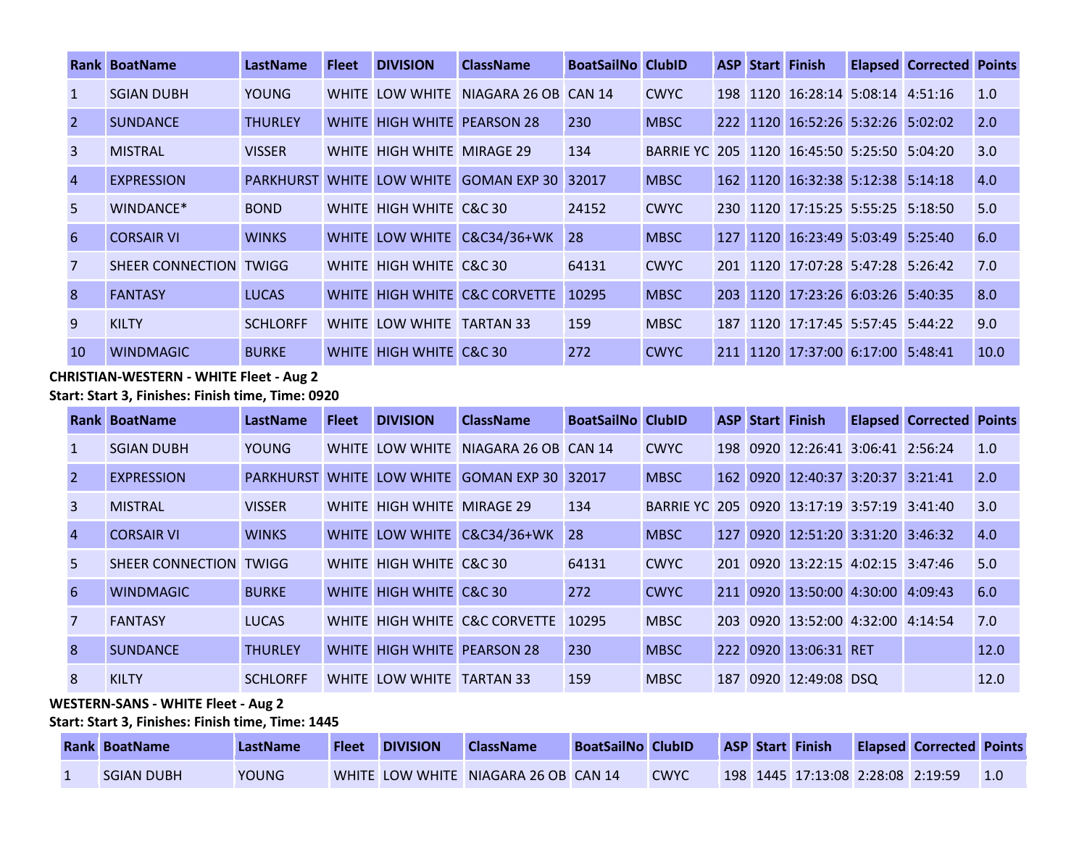|                | <b>Rank BoatName</b>   | <b>LastName</b>        | <b>Fleet</b> | <b>DIVISION</b>             | <b>ClassName</b>              | <b>BoatSailNo ClubID</b> |                                             |     | <b>ASP Start Finish</b>           | <b>Elapsed Corrected Points</b> |      |
|----------------|------------------------|------------------------|--------------|-----------------------------|-------------------------------|--------------------------|---------------------------------------------|-----|-----------------------------------|---------------------------------|------|
|                | <b>SGIAN DUBH</b>      | <b>YOUNG</b>           |              | WHITE LOW WHITE             | NIAGARA 26 OB CAN 14          |                          | <b>CWYC</b>                                 | 198 | 1120 16:28:14 5:08:14 4:51:16     |                                 | 1.0  |
|                | <b>SUNDANCE</b>        | <b>THURLEY</b>         |              | WHITE HIGH WHITE PEARSON 28 |                               | 230                      | <b>MBSC</b>                                 |     | 222 1120 16:52:26 5:32:26 5:02:02 |                                 | 2.0  |
| $\overline{3}$ | <b>MISTRAL</b>         | <b>VISSER</b>          |              | WHITE HIGH WHITE MIRAGE 29  |                               | 134                      | BARRIE YC 205 1120 16:45:50 5:25:50 5:04:20 |     |                                   |                                 | 3.0  |
| $\overline{4}$ | <b>EXPRESSION</b>      | <b>PARKHURST WHITE</b> |              | LOW WHITE                   | GOMAN EXP 30 32017            |                          | <b>MBSC</b>                                 |     | 162 1120 16:32:38 5:12:38 5:14:18 |                                 | 4.0  |
| 5.             | WINDANCE*              | <b>BOND</b>            |              | WHITE HIGH WHITE C&C 30     |                               | 24152                    | <b>CWYC</b>                                 |     | 230 1120 17:15:25 5:55:25 5:18:50 |                                 | 5.0  |
| 6              | <b>CORSAIR VI</b>      | <b>WINKS</b>           |              |                             | WHITE LOW WHITE C&C34/36+WK   | 28                       | <b>MBSC</b>                                 |     | 127 1120 16:23:49 5:03:49 5:25:40 |                                 | 6.0  |
|                | SHEER CONNECTION TWIGG |                        |              | WHITE HIGH WHITE C&C 30     |                               | 64131                    | <b>CWYC</b>                                 |     | 201 1120 17:07:28 5:47:28 5:26:42 |                                 | 7.0  |
| 8              | <b>FANTASY</b>         | <b>LUCAS</b>           |              |                             | WHITE HIGH WHITE C&C CORVETTE | 10295                    | <b>MBSC</b>                                 |     | 203 1120 17:23:26 6:03:26 5:40:35 |                                 | 8.0  |
| 9              | <b>KILTY</b>           | <b>SCHLORFF</b>        |              | WHITE LOW WHITE             | <b>TARTAN 33</b>              | 159                      | <b>MBSC</b>                                 | 187 | 1120 17:17:45 5:57:45 5:44:22     |                                 | 9.0  |
| 10             | <b>WINDMAGIC</b>       | <b>BURKE</b>           |              | WHITE HIGH WHITE C&C 30     |                               | 272                      | <b>CWYC</b>                                 |     | 211 1120 17:37:00 6:17:00 5:48:41 |                                 | 10.0 |

#### **CHRISTIAN-WESTERN - WHITE Fleet - Aug 2**

**Start: Start 3, Finishes: Finish time, Time: 0920** 

|                | Rank BoatName          | LastName         | <b>Fleet</b> | <b>DIVISION</b>            | <b>ClassName</b>                     | <b>BoatSailNo ClubID</b> |                                             |     | <b>ASP Start Finish</b>           | <b>Elapsed Corrected Points</b> |      |
|----------------|------------------------|------------------|--------------|----------------------------|--------------------------------------|--------------------------|---------------------------------------------|-----|-----------------------------------|---------------------------------|------|
|                | <b>SGIAN DUBH</b>      | <b>YOUNG</b>     |              |                            | WHITE LOW WHITE NIAGARA 26 OB CAN 14 |                          | <b>CWYC</b>                                 |     | 198 0920 12:26:41 3:06:41 2:56:24 |                                 | 1.0  |
|                | <b>EXPRESSION</b>      | <b>PARKHURST</b> |              |                            | WHITE LOW WHITE GOMAN EXP 30 32017   |                          | <b>MBSC</b>                                 |     | 162 0920 12:40:37 3:20:37 3:21:41 |                                 | 2.0  |
| 3              | <b>MISTRAL</b>         | <b>VISSER</b>    |              | WHITE HIGH WHITE MIRAGE 29 |                                      | 134                      | BARRIE YC 205 0920 13:17:19 3:57:19 3:41:40 |     |                                   |                                 | 3.0  |
| $\overline{4}$ | <b>CORSAIR VI</b>      | <b>WINKS</b>     |              |                            | WHITE LOW WHITE C&C34/36+WK 28       |                          | <b>MBSC</b>                                 |     | 127 0920 12:51:20 3:31:20 3:46:32 |                                 | 4.0  |
| 5.             | SHEER CONNECTION TWIGG |                  |              | WHITE HIGH WHITE C&C 30    |                                      | 64131                    | <b>CWYC</b>                                 |     | 201 0920 13:22:15 4:02:15 3:47:46 |                                 | 5.0  |
| 6              | <b>WINDMAGIC</b>       | <b>BURKE</b>     |              | WHITE HIGH WHITE C&C 30    |                                      | 272                      | <b>CWYC</b>                                 |     | 211 0920 13:50:00 4:30:00 4:09:43 |                                 | 6.0  |
|                | <b>FANTASY</b>         | <b>LUCAS</b>     |              |                            | WHITE HIGH WHITE C&C CORVETTE        | 10295                    | <b>MBSC</b>                                 | 203 | 0920 13:52:00 4:32:00 4:14:54     |                                 | 7.0  |
| 8              | <b>SUNDANCE</b>        | <b>THURLEY</b>   |              |                            | <b>WHITE HIGH WHITE PEARSON 28</b>   | 230                      | <b>MBSC</b>                                 |     | 222 0920 13:06:31 RET             |                                 | 12.0 |
| 8              | <b>KILTY</b>           | <b>SCHLORFF</b>  |              | WHITE LOW WHITE TARTAN 33  |                                      | 159                      | <b>MBSC</b>                                 |     | 187 0920 12:49:08 DSQ             |                                 | 12.0 |

#### **WESTERN-SANS - WHITE Fleet - Aug 2**

**Start: Start 3, Finishes: Finish time, Time: 1445** 

| <b>Rank BoatName</b> | LastName     | <b>Fleet</b> | <b>DIVISION</b> | <b>ClassName</b>                     | <b>BoatSailNo ClubID</b> |             |  | <b>ASP Start Finish</b>           | <b>Elapsed Corrected Points</b> |  |
|----------------------|--------------|--------------|-----------------|--------------------------------------|--------------------------|-------------|--|-----------------------------------|---------------------------------|--|
| <b>SGIAN DUBH</b>    | <b>YOUNG</b> |              |                 | WHITE LOW WHITE NIAGARA 26 OB CAN 14 |                          | <b>CWYC</b> |  | 198 1445 17:13:08 2:28:08 2:19:59 |                                 |  |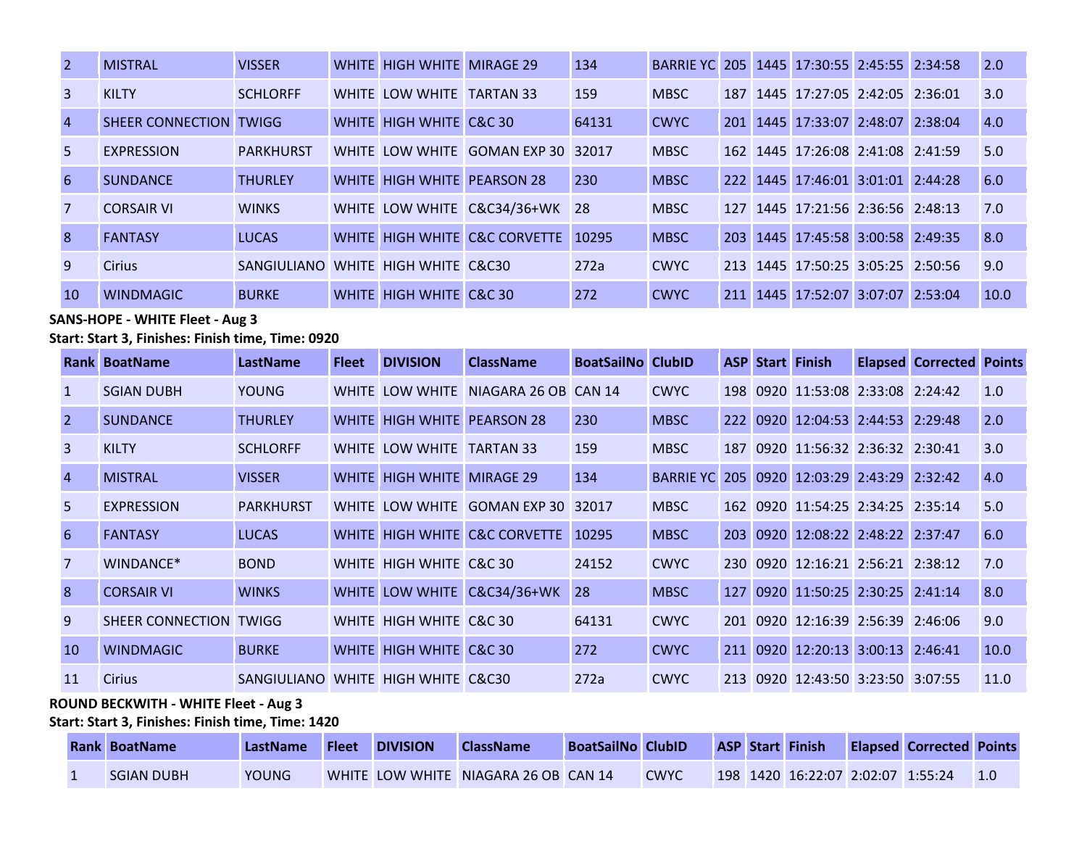| <sup>2</sup>   | <b>MISTRAL</b>         | <b>VISSER</b>                      | WHITE HIGH WHITE MIRAGE 29  |                               | 134   | BARRIE YC 205 1445 17:30:55 2:45:55 2:34:58 |  |                                   |  | 2.0  |
|----------------|------------------------|------------------------------------|-----------------------------|-------------------------------|-------|---------------------------------------------|--|-----------------------------------|--|------|
| 3              | <b>KILTY</b>           | <b>SCHLORFF</b>                    | WHITE LOW WHITE TARTAN 33   |                               | 159   | <b>MBSC</b>                                 |  | 187 1445 17:27:05 2:42:05 2:36:01 |  | 3.0  |
| $\overline{4}$ | SHEER CONNECTION TWIGG |                                    | WHITE HIGH WHITE C&C 30     |                               | 64131 | <b>CWYC</b>                                 |  | 201 1445 17:33:07 2:48:07 2:38:04 |  | 4.0  |
| 5              | <b>EXPRESSION</b>      | <b>PARKHURST</b>                   |                             | WHITE LOW WHITE GOMAN EXP 30  | 32017 | <b>MBSC</b>                                 |  | 162 1445 17:26:08 2:41:08 2:41:59 |  | 5.0  |
| 6              | <b>SUNDANCE</b>        | <b>THURLEY</b>                     | WHITE HIGH WHITE PEARSON 28 |                               | 230   | <b>MBSC</b>                                 |  | 222 1445 17:46:01 3:01:01 2:44:28 |  | 6.0  |
| $\overline{7}$ | <b>CORSAIR VI</b>      | <b>WINKS</b>                       |                             | WHITE LOW WHITE C&C34/36+WK   | 28    | <b>MBSC</b>                                 |  | 127 1445 17:21:56 2:36:56 2:48:13 |  | 7.0  |
| 8              | <b>FANTASY</b>         | <b>LUCAS</b>                       |                             | WHITE HIGH WHITE C&C CORVETTE | 10295 | <b>MBSC</b>                                 |  | 203 1445 17:45:58 3:00:58 2:49:35 |  | 8.0  |
| 9              | <b>Cirius</b>          | SANGIULIANO WHITE HIGH WHITE C&C30 |                             |                               | 272a  | <b>CWYC</b>                                 |  | 213 1445 17:50:25 3:05:25 2:50:56 |  | 9.0  |
| <sup>10</sup>  | <b>WINDMAGIC</b>       | <b>BURKE</b>                       | WHITE HIGH WHITE C&C 30     |                               | 272   | <b>CWYC</b>                                 |  | 211 1445 17:52:07 3:07:07 2:53:04 |  | 10.0 |

# **SANS-HOPE - WHITE Fleet - Aug 3**

#### **Start: Start 3, Finishes: Finish time, Time: 0920**

|                | <b>Rank BoatName</b>   | LastName                           | <b>Fleet</b> | <b>DIVISION</b>             | <b>ClassName</b>                     | <b>BoatSailNo ClubID</b> |                                             | <b>ASP</b> | <b>Start Finish</b>               | <b>Elapsed Corrected Points</b> |      |
|----------------|------------------------|------------------------------------|--------------|-----------------------------|--------------------------------------|--------------------------|---------------------------------------------|------------|-----------------------------------|---------------------------------|------|
|                | <b>SGIAN DUBH</b>      | <b>YOUNG</b>                       |              |                             | WHITE LOW WHITE NIAGARA 26 OB CAN 14 |                          | <b>CWYC</b>                                 |            | 198 0920 11:53:08 2:33:08 2:24:42 |                                 | 1.0  |
| $\overline{2}$ | <b>SUNDANCE</b>        | <b>THURLEY</b>                     |              | WHITE HIGH WHITE PEARSON 28 |                                      | 230                      | <b>MBSC</b>                                 |            | 222 0920 12:04:53 2:44:53 2:29:48 |                                 | 2.0  |
| 3              | <b>KILTY</b>           | <b>SCHLORFF</b>                    |              | WHITE LOW WHITE TARTAN 33   |                                      | 159                      | <b>MBSC</b>                                 |            | 187 0920 11:56:32 2:36:32 2:30:41 |                                 | 3.0  |
| $\overline{4}$ | <b>MISTRAL</b>         | <b>VISSER</b>                      |              | WHITE HIGH WHITE MIRAGE 29  |                                      | 134                      | BARRIE YC 205 0920 12:03:29 2:43:29 2:32:42 |            |                                   |                                 | 4.0  |
| .5.            | <b>EXPRESSION</b>      | <b>PARKHURST</b>                   |              | WHITE LOW WHITE             | GOMAN EXP 30                         | 32017                    | <b>MBSC</b>                                 |            | 162 0920 11:54:25 2:34:25 2:35:14 |                                 | 5.0  |
| 6              | <b>FANTASY</b>         | <b>LUCAS</b>                       | <b>WHITE</b> |                             | HIGH WHITE C&C CORVETTE              | 10295                    | <b>MBSC</b>                                 |            | 203 0920 12:08:22 2:48:22 2:37:47 |                                 | 6.0  |
| $\overline{7}$ | WINDANCE*              | <b>BOND</b>                        |              | WHITE HIGH WHITE C&C 30     |                                      | 24152                    | <b>CWYC</b>                                 | <b>230</b> | 0920 12:16:21 2:56:21 2:38:12     |                                 | 7.0  |
| 8              | <b>CORSAIR VI</b>      | <b>WINKS</b>                       |              |                             | WHITE LOW WHITE C&C34/36+WK          | 28                       | <b>MBSC</b>                                 |            | 127 0920 11:50:25 2:30:25 2:41:14 |                                 | 8.0  |
| 9              | SHEER CONNECTION TWIGG |                                    |              | WHITE HIGH WHITE C&C 30     |                                      | 64131                    | <b>CWYC</b>                                 |            | 201 0920 12:16:39 2:56:39 2:46:06 |                                 | 9.0  |
| 10             | <b>WINDMAGIC</b>       | <b>BURKE</b>                       |              | WHITE HIGH WHITE C&C 30     |                                      | 272                      | <b>CWYC</b>                                 |            | 211 0920 12:20:13 3:00:13         | 2:46:41                         | 10.0 |
| 11             | <b>Cirius</b>          | SANGIULIANO WHITE HIGH WHITE C&C30 |              |                             |                                      | 272a                     | <b>CWYC</b>                                 |            | 213 0920 12:43:50 3:23:50 3:07:55 |                                 | 11.0 |

### **ROUND BECKWITH - WHITE Fleet - Aug 3**

### **Start: Start 3, Finishes: Finish time, Time: 1420**

| <b>Rank BoatName</b> | LastName | <b>Fleet</b> | <b>DIVISION</b> | <b>ClassName</b>                     | <b>BoatSailNo ClubID</b> |             |  | <b>ASP Start Finish</b>           | <b>Elapsed Corrected Points</b> |  |
|----------------------|----------|--------------|-----------------|--------------------------------------|--------------------------|-------------|--|-----------------------------------|---------------------------------|--|
| <b>SGIAN DUBH</b>    | YOUNG    |              |                 | WHITE LOW WHITE NIAGARA 26 OB CAN 14 |                          | <b>CWYC</b> |  | 198 1420 16:22:07 2:02:07 1:55:24 |                                 |  |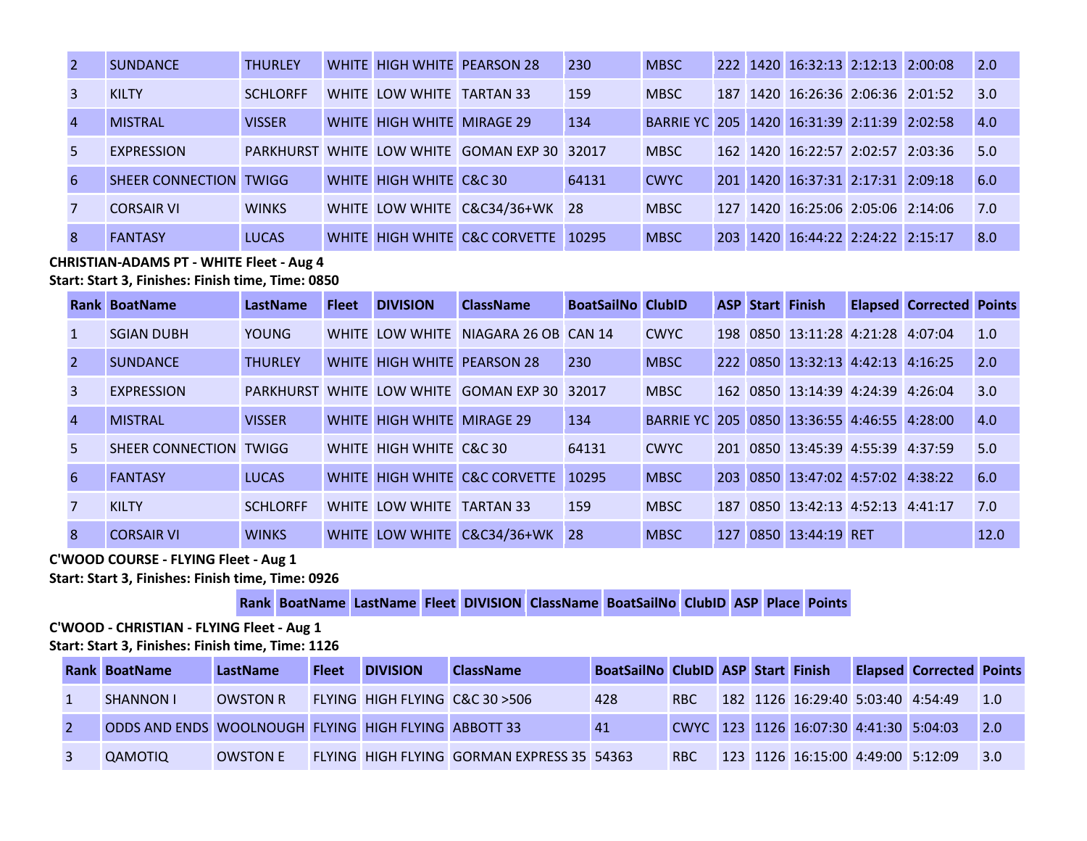|                | <b>SUNDANCE</b>         | <b>THURLEY</b>  |                            | WHITE HIGH WHITE PEARSON 28                  | 230   | <b>MBSC</b>                                 |                  | 222 1420 16:32:13 2:12:13 2:00:08 |  | 2.0 |
|----------------|-------------------------|-----------------|----------------------------|----------------------------------------------|-------|---------------------------------------------|------------------|-----------------------------------|--|-----|
|                | <b>KILTY</b>            | <b>SCHLORFF</b> | WHITE LOW WHITE TARTAN 33  |                                              | 159   | <b>MBSC</b>                                 |                  | 187 1420 16:26:36 2:06:36 2:01:52 |  | 3.0 |
| $\overline{A}$ | <b>MISTRAL</b>          | <b>VISSER</b>   | WHITE HIGH WHITE MIRAGE 29 |                                              | 134   | BARRIE YC 205 1420 16:31:39 2:11:39 2:02:58 |                  |                                   |  | 4.0 |
| .5.            | <b>EXPRESSION</b>       |                 |                            | PARKHURST WHITE LOW WHITE GOMAN EXP 30 32017 |       | <b>MBSC</b>                                 |                  | 162 1420 16:22:57 2:02:57 2:03:36 |  | 5.0 |
| 6              | <b>SHEER CONNECTION</b> | <b>TWIGG</b>    | WHITE HIGH WHITE C&C 30    |                                              | 64131 | <b>CWYC</b>                                 |                  | 201 1420 16:37:31 2:17:31 2:09:18 |  | 6.0 |
|                | <b>CORSAIR VI</b>       | <b>WINKS</b>    |                            | WHITE LOW WHITE C&C34/36+WK 28               |       | <b>MBSC</b>                                 |                  | 127 1420 16:25:06 2:05:06 2:14:06 |  | 7.0 |
| 8              | <b>FANTASY</b>          | <b>LUCAS</b>    |                            | WHITE HIGH WHITE C&C CORVETTE                | 10295 | <b>MBSC</b>                                 | 203 <sup>1</sup> | 1420 16:44:22 2:24:22 2:15:17     |  | 8.0 |

**CHRISTIAN-ADAMS PT - WHITE Fleet - Aug 4**

**Start: Start 3, Finishes: Finish time, Time: 0850** 

|                | <b>Rank BoatName</b>   | LastName        | <b>Fleet</b> | <b>DIVISION</b>                    | <b>ClassName</b>                             | <b>BoatSailNo ClubID</b> |               |     | <b>ASP Start Finish</b>           | <b>Elapsed Corrected Points</b> |      |
|----------------|------------------------|-----------------|--------------|------------------------------------|----------------------------------------------|--------------------------|---------------|-----|-----------------------------------|---------------------------------|------|
| $\mathbf{1}$   | <b>SGIAN DUBH</b>      | <b>YOUNG</b>    |              |                                    | WHITE LOW WHITE NIAGARA 26 OB CAN 14         |                          | <b>CWYC</b>   | 198 | 0850 13:11:28 4:21:28 4:07:04     |                                 | 1.0  |
| 2              | <b>SUNDANCE</b>        | <b>THURLEY</b>  |              | <b>WHITE HIGH WHITE PEARSON 28</b> |                                              | 230                      | <b>MBSC</b>   | 222 | 0850 13:32:13 4:42:13 4:16:25     |                                 | 2.0  |
| 3              | <b>EXPRESSION</b>      |                 |              |                                    | PARKHURST WHITE LOW WHITE GOMAN EXP 30 32017 |                          | <b>MBSC</b>   |     | 162 0850 13:14:39 4:24:39 4:26:04 |                                 | 3.0  |
| $\overline{4}$ | <b>MISTRAL</b>         | <b>VISSER</b>   |              | WHITE HIGH WHITE MIRAGE 29         |                                              | 134                      | BARRIF YC 205 |     | 0850 13:36:55 4:46:55 4:28:00     |                                 | 4.0  |
| .5.            | SHEER CONNECTION TWIGG |                 |              | WHITE HIGH WHITE C&C 30            |                                              | 64131                    | <b>CWYC</b>   |     | 201 0850 13:45:39 4:55:39 4:37:59 |                                 | 5.0  |
| 6              | <b>FANTASY</b>         | <b>LUCAS</b>    |              |                                    | WHITE HIGH WHITE C&C CORVETTE                | 10295                    | <b>MBSC</b>   | 203 | 0850 13:47:02 4:57:02 4:38:22     |                                 | 6.0  |
|                | <b>KILTY</b>           | <b>SCHLORFF</b> |              | WHITE LOW WHITE TARTAN 33          |                                              | 159                      | <b>MBSC</b>   | 187 | 0850 13:42:13 4:52:13 4:41:17     |                                 | 7.0  |
| 8              | <b>CORSAIR VI</b>      | <b>WINKS</b>    |              | <b>WHITE LOW WHITE</b>             | C&C34/36+WK                                  | <b>28</b>                | <b>MBSC</b>   | 127 | 0850 13:44:19 RET                 |                                 | 12.0 |

#### **C'WOOD COURSE - FLYING Fleet - Aug 1**

**Start: Start 3, Finishes: Finish time, Time: 0926** 

**Rank BoatName LastName Fleet DIVISION ClassName BoatSailNo ClubID ASP Place Points**

**C'WOOD - CHRISTIAN - FLYING Fleet - Aug 1 Start: Start 3, Finishes: Finish time, Time: 1126** 

|  | <b>Rank BoatName</b>                                        | LastName        | <b>Fleet</b> | <b>DIVISION</b> | <b>ClassName</b>                           | BoatSailNo ClubID ASP Start Finish |            |  |                                        | <b>Elapsed Corrected Points</b> |                   |
|--|-------------------------------------------------------------|-----------------|--------------|-----------------|--------------------------------------------|------------------------------------|------------|--|----------------------------------------|---------------------------------|-------------------|
|  | <b>SHANNON I</b>                                            | <b>OWSTON R</b> |              |                 | FLYING HIGH FLYING C&C 30 > 506            | 428                                | <b>RBC</b> |  | 182 1126 16:29:40 5:03:40 4:54:49      |                                 | $\vert 1.0 \vert$ |
|  | <b>ODDS AND ENDS WOOLNOUGH FLYING HIGH FLYING ABBOTT 33</b> |                 |              |                 |                                            | 41                                 |            |  | CWYC 123 1126 16:07:30 4:41:30 5:04:03 |                                 | $\overline{2.0}$  |
|  | QAMOTIQ                                                     | <b>OWSTON E</b> |              |                 | FLYING HIGH FLYING GORMAN EXPRESS 35 54363 |                                    | <b>RBC</b> |  | 123 1126 16:15:00 4:49:00 5:12:09      |                                 | $\vert 3.0 \vert$ |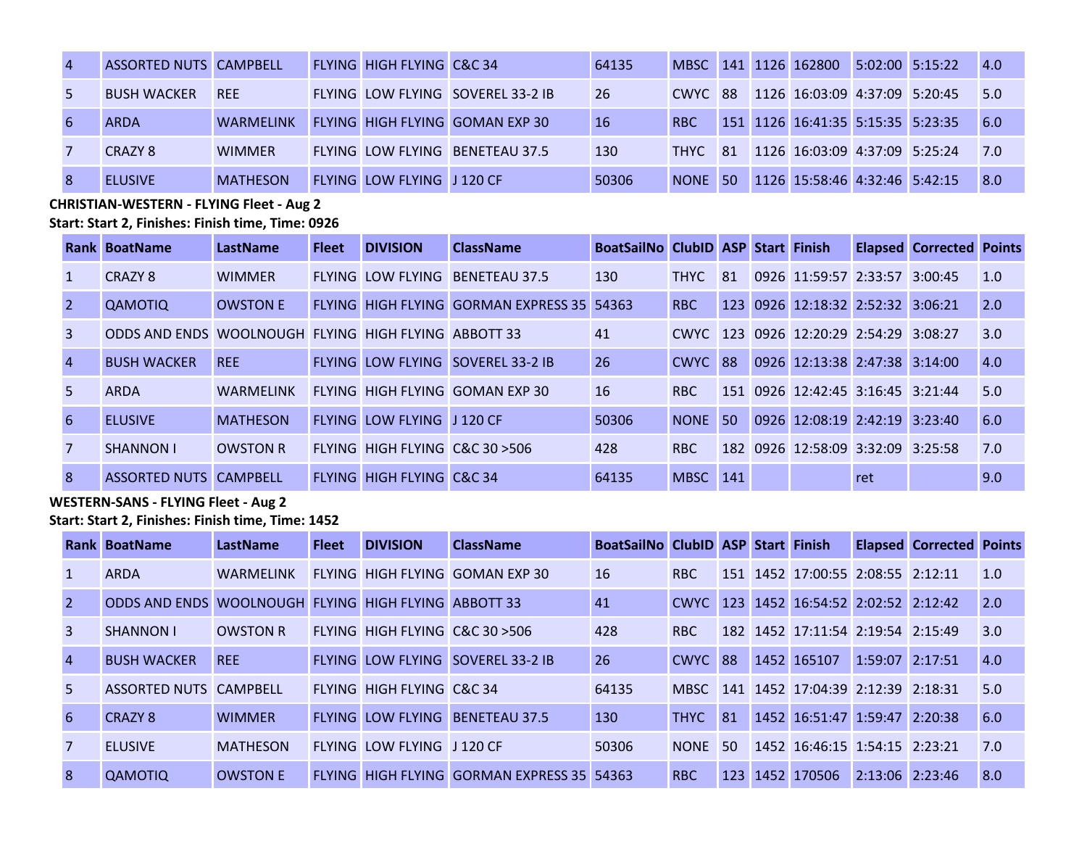| <b>ASSORTED NUTS CAMPBELL</b> |                  | <b>FLYING HIGH FLYING C&amp;C 34</b> |                                          | 64135      |                 |  | MBSC 141 1126 162800 5:02:00 5:15:22  |  | 4.0  |
|-------------------------------|------------------|--------------------------------------|------------------------------------------|------------|-----------------|--|---------------------------------------|--|------|
| <b>BUSH WACKER</b>            | <b>RFF</b>       |                                      | <b>FLYING LOW FLYING SOVEREL 33-2 IB</b> | 26         |                 |  | CWYC 88 1126 16:03:09 4:37:09 5:20:45 |  | 15.0 |
| <b>ARDA</b>                   | <b>WARMELINK</b> |                                      | FLYING HIGH FLYING GOMAN EXP 30          | <b>16</b>  | R <sub>BC</sub> |  | 151 1126 16:41:35 5:15:35 5:23:35     |  | 6.0  |
| CRAZY 8                       | <b>WIMMFR</b>    |                                      | <b>FLYING LOW FLYING BENETEAU 37.5</b>   | <b>130</b> |                 |  | THYC 81 1126 16:03:09 4:37:09 5:25:24 |  | 17.0 |
| <b>FLUSIVE</b>                | <b>MATHESON</b>  | FLYING LOW FLYING J 120 CF           |                                          | 50306      | NONE 50         |  | 1126 15:58:46 4:32:46 5:42:15         |  | 8.0  |

**CHRISTIAN-WESTERN - FLYING Fleet - Aug 2 Start: Start 2, Finishes: Finish time, Time: 0926** 

|                | Rank BoatName                                        | LastName         | <b>Fleet</b> | <b>DIVISION</b>                 | <b>ClassName</b>                                  | <b>BoatSailNo ClubID ASP Start Finish</b> |                 |    |                                   |     | <b>Elapsed Corrected Points</b> |     |
|----------------|------------------------------------------------------|------------------|--------------|---------------------------------|---------------------------------------------------|-------------------------------------------|-----------------|----|-----------------------------------|-----|---------------------------------|-----|
| -1             | CRAZY 8                                              | <b>WIMMER</b>    |              | FLYING LOW FLYING               | <b>BENETEAU 37.5</b>                              | 130                                       | <b>THYC</b>     | 81 | 0926 11:59:57 2:33:57 3:00:45     |     |                                 | 1.0 |
| $\overline{2}$ | <b>QAMOTIQ</b>                                       | <b>OWSTON E</b>  |              |                                 | <b>FLYING HIGH FLYING GORMAN EXPRESS 35 54363</b> |                                           | R <sub>BC</sub> |    | 123 0926 12:18:32 2:52:32 3:06:21 |     |                                 | 2.0 |
| $\mathcal{R}$  | ODDS AND ENDS WOOLNOUGH FLYING HIGH FLYING ABBOTT 33 |                  |              |                                 |                                                   | 41                                        |                 |    | CWYC 123 0926 12:20:29 2:54:29    |     | 3:08:27                         | 3.0 |
| $\overline{A}$ | <b>BUSH WACKER</b>                                   | <b>REE</b>       |              |                                 | FLYING LOW FLYING SOVEREL 33-2 IB                 | 26                                        | CWYC 88         |    | 0926 12:13:38 2:47:38 3:14:00     |     |                                 | 4.0 |
| .5.            | <b>ARDA</b>                                          | <b>WARMFLINK</b> |              |                                 | FLYING HIGH FLYING GOMAN EXP 30                   | <b>16</b>                                 | R <sub>BC</sub> |    | 151 0926 12:42:45 3:16:45 3:21:44 |     |                                 | 5.0 |
| 6              | <b>FLUSIVE</b>                                       | <b>MATHESON</b>  |              | FLYING LOW FLYING J120 CF       |                                                   | 50306                                     | NONE 50         |    | 0926 12:08:19 2:42:19 3:23:40     |     |                                 | 6.0 |
| 7              | <b>SHANNON I</b>                                     | <b>OWSTON R</b>  |              | FLYING HIGH FLYING C&C 30 > 506 |                                                   | 428                                       | <b>RBC</b>      |    | 182 0926 12:58:09 3:32:09 3:25:58 |     |                                 | 7.0 |
| 8              | <b>ASSORTED NUTS CAMPBELL</b>                        |                  |              | FLYING HIGH FLYING C&C 34       |                                                   | 64135                                     | MBSC 141        |    |                                   | ret |                                 | 9.0 |

**WESTERN-SANS - FLYING Fleet - Aug 2**

**Start: Start 2, Finishes: Finish time, Time: 1452** 

|                | Rank BoatName                              | LastName         | <b>Fleet</b> | <b>DIVISION</b>                 | <b>ClassName</b>                                  | <b>BoatSailNo ClubID ASP Start Finish</b> |             |                  |                                   |                     | <b>Elapsed Corrected Points</b> |     |
|----------------|--------------------------------------------|------------------|--------------|---------------------------------|---------------------------------------------------|-------------------------------------------|-------------|------------------|-----------------------------------|---------------------|---------------------------------|-----|
|                | <b>ARDA</b>                                | <b>WARMFLINK</b> |              |                                 | FLYING HIGH FLYING GOMAN EXP 30                   | <b>16</b>                                 | <b>RBC</b>  |                  | 151 1452 17:00:55 2:08:55 2:12:11 |                     |                                 | 1.0 |
| 2              | ODDS AND ENDS WOOLNOUGH FLYING HIGH FLYING |                  |              |                                 | ABBOTT 33                                         | 41                                        | CWYC I      |                  | 123 1452 16:54:52 2:02:52 2:12:42 |                     |                                 | 2.0 |
| 3              | <b>SHANNON I</b>                           | <b>OWSTON R</b>  |              | FLYING HIGH FLYING C&C 30 > 506 |                                                   | 428                                       | <b>RBC</b>  |                  | 182 1452 17:11:54 2:19:54 2:15:49 |                     |                                 | 3.0 |
| $\overline{4}$ | <b>BUSH WACKER</b>                         | <b>REE</b>       |              |                                 | FLYING LOW FLYING SOVEREL 33-2 IB                 | 26                                        | CWYC 88     |                  | 1452 165107                       | 1:59:07 2:17:51     |                                 | 4.0 |
| 5.             | ASSORTED NUTS CAMPBELL                     |                  |              | FLYING HIGH FLYING C&C 34       |                                                   | 64135                                     | MBSC -      |                  | 141 1452 17:04:39 2:12:39 2:18:31 |                     |                                 | 5.0 |
| 6              | CRAZY 8                                    | <b>WIMMER</b>    |              | <b>FLYING LOW FLYING</b>        | <b>BENETEAU 37.5</b>                              | 130                                       | <b>THYC</b> | 81               | 1452 16:51:47 1:59:47 2:20:38     |                     |                                 | 6.0 |
| 7              | <b>ELUSIVE</b>                             | <b>MATHESON</b>  |              | FLYING LOW FLYING J120 CF       |                                                   | 50306                                     | <b>NONE</b> | -50              | 1452 16:46:15 1:54:15 2:23:21     |                     |                                 | 7.0 |
| <b>8</b>       | QAMOTIQ                                    | <b>OWSTON E</b>  |              |                                 | <b>FLYING HIGH FLYING GORMAN EXPRESS 35 54363</b> |                                           | <b>RBC</b>  | 123 <sub>1</sub> | 1452 170506                       | $2:13:06$ $2:23:46$ |                                 | 8.0 |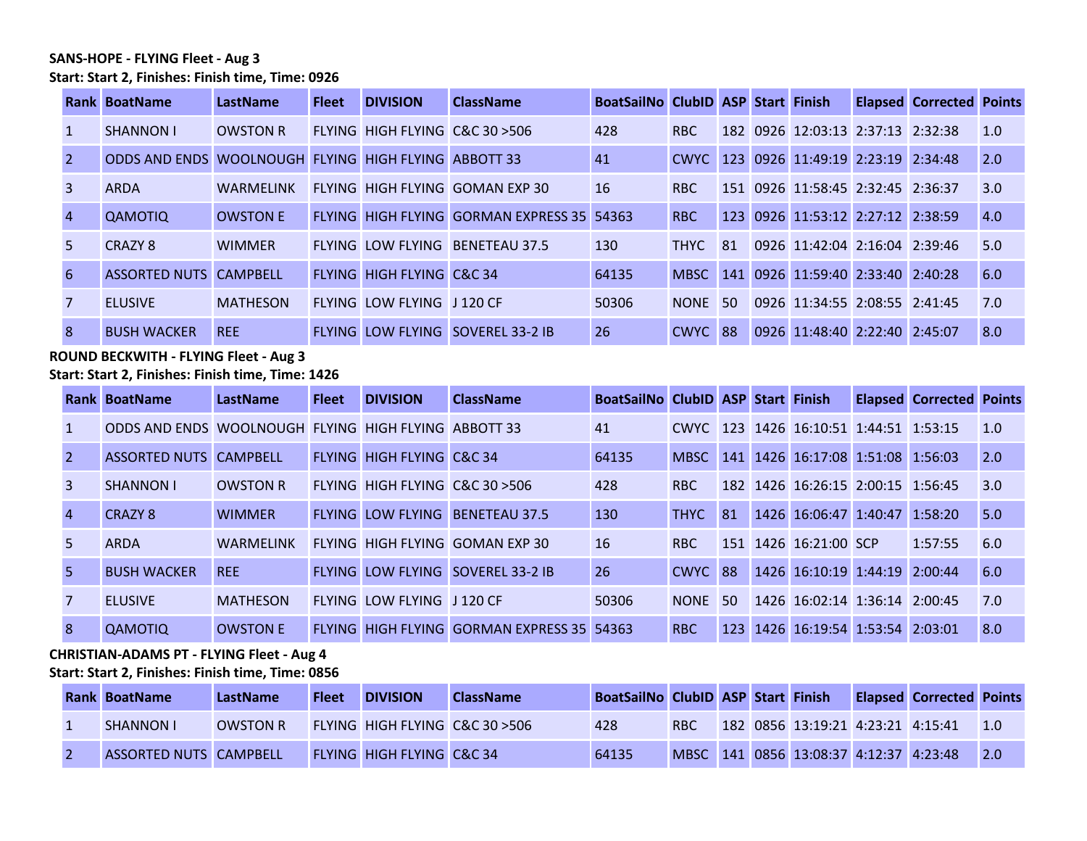#### **SANS-HOPE - FLYING Fleet - Aug 3 Start: Start 2, Finishes: Finish time, Time: 0926**

|                | Rank BoatName                              | LastName         | <b>Fleet</b> | <b>DIVISION</b>                 | <b>ClassName</b>                           | <b>BoatSailNo ClubID ASP Start Finish</b> |                 |     |                                        | <b>Elapsed Corrected Points</b> |     |
|----------------|--------------------------------------------|------------------|--------------|---------------------------------|--------------------------------------------|-------------------------------------------|-----------------|-----|----------------------------------------|---------------------------------|-----|
| -1             | <b>SHANNON I</b>                           | <b>OWSTON R</b>  |              | FLYING HIGH FLYING C&C 30 > 506 |                                            | 428                                       | RBC.            |     | 182 0926 12:03:13 2:37:13 2:32:38      |                                 | 1.0 |
|                | ODDS AND ENDS WOOLNOUGH FLYING HIGH FLYING |                  |              |                                 | ABBOTT 33                                  | 41                                        |                 |     | CWYC 123 0926 11:49:19 2:23:19 2:34:48 |                                 | 2.0 |
| 3              | <b>ARDA</b>                                | <b>WARMELINK</b> |              |                                 | FLYING HIGH FLYING GOMAN EXP 30            | <b>16</b>                                 | R <sub>BC</sub> |     | 151 0926 11:58:45 2:32:45 2:36:37      |                                 | 3.0 |
| $\overline{A}$ | <b>QAMOTIQ</b>                             | <b>OWSTON E</b>  |              |                                 | FLYING HIGH FLYING GORMAN EXPRESS 35 54363 |                                           | R <sub>BC</sub> |     | 123 0926 11:53:12 2:27:12 2:38:59      |                                 | 4.0 |
| .5.            | CRAZY 8                                    | <b>WIMMER</b>    |              | <b>FLYING LOW FLYING</b>        | <b>BENETEAU 37.5</b>                       | 130                                       | <b>THYC</b>     | -81 | 0926 11:42:04 2:16:04 2:39:46          |                                 | 5.0 |
| 6              | <b>ASSORTED NUTS CAMPBELL</b>              |                  |              | FLYING HIGH FLYING C&C 34       |                                            | 64135                                     | MBSC            |     | 141 0926 11:59:40 2:33:40 2:40:28      |                                 | 6.0 |
| 7              | <b>FLUSIVE</b>                             | <b>MATHESON</b>  |              | FLYING LOW FLYING J120 CF       |                                            | 50306                                     | <b>NONE</b>     | -50 | 0926 11:34:55 2:08:55 2:41:45          |                                 | 7.0 |
| 8              | <b>BUSH WACKER</b>                         | <b>REE</b>       |              |                                 | <b>FLYING LOW FLYING SOVEREL 33-2 IB</b>   | 26                                        | CWYC 88         |     | 0926 11:48:40 2:22:40 2:45:07          |                                 | 8.0 |

# **ROUND BECKWITH - FLYING Fleet - Aug 3**

**Start: Start 2, Finishes: Finish time, Time: 1426** 

|                | <b>Rank BoatName</b>                                 | LastName         | <b>Fleet</b> | <b>DIVISION</b>                 | <b>ClassName</b>                                  | <b>BoatSailNo ClubID ASP Start Finish</b> |             |         |                                        | <b>Elapsed Corrected Points</b> |     |
|----------------|------------------------------------------------------|------------------|--------------|---------------------------------|---------------------------------------------------|-------------------------------------------|-------------|---------|----------------------------------------|---------------------------------|-----|
| $\vert$ 1      | ODDS AND ENDS WOOLNOUGH FLYING HIGH FLYING ABBOTT 33 |                  |              |                                 |                                                   | 41                                        |             |         | CWYC 123 1426 16:10:51 1:44:51 1:53:15 |                                 | 1.0 |
| $\overline{2}$ | <b>ASSORTED NUTS CAMPBELL</b>                        |                  |              | FLYING HIGH FLYING C&C 34       |                                                   | 64135                                     | <b>MBSC</b> |         | 141 1426 16:17:08 1:51:08 1:56:03      |                                 | 2.0 |
| 3              | <b>SHANNON I</b>                                     | <b>OWSTON R</b>  |              | FLYING HIGH FLYING C&C 30 > 506 |                                                   | 428                                       | <b>RBC</b>  |         | 182 1426 16:26:15 2:00:15 1:56:45      |                                 | 3.0 |
| $\overline{4}$ | <b>CRAZY 8</b>                                       | <b>WIMMER</b>    |              | <b>FLYING LOW FLYING</b>        | <b>BENETEAU 37.5</b>                              | 130                                       | <b>THYC</b> | 81      | 1426 16:06:47 1:40:47 1:58:20          |                                 | 5.0 |
| -5.            | <b>ARDA</b>                                          | <b>WARMFLINK</b> |              |                                 | FLYING HIGH FLYING GOMAN EXP 30                   | <b>16</b>                                 | <b>RBC</b>  |         | 151 1426 16:21:00 SCP                  | 1:57:55                         | 6.0 |
| -5             | <b>BUSH WACKER</b>                                   | <b>REE</b>       |              |                                 | FLYING LOW FLYING SOVEREL 33-2 IB                 | 26                                        | CWYC 88     |         | 1426 16:10:19 1:44:19 2:00:44          |                                 | 6.0 |
| 7              | <b>FLUSIVE</b>                                       | <b>MATHESON</b>  |              | FLYING LOW FLYING J 120 CF      |                                                   | 50306                                     | <b>NONF</b> | -50     | 1426 16:02:14 1:36:14 2:00:45          |                                 | 7.0 |
| 8              | QAMOTIQ                                              | <b>OWSTON E</b>  |              |                                 | <b>FLYING HIGH FLYING GORMAN EXPRESS 35 54363</b> |                                           | <b>RBC</b>  | $123 -$ | 1426 16:19:54 1:53:54 2:03:01          |                                 | 8.0 |

#### **CHRISTIAN-ADAMS PT - FLYING Fleet - Aug 4 Start: Start 2, Finishes: Finish time, Time: 0856**

|  | <b>Rank BoatName</b>   | LastName        | <b>Fleet</b> | <b>DIVISION</b>                      | <b>ClassName</b>                | BoatSailNo ClubID ASP Start Finish |            |  |                                        | <b>Elapsed Corrected Points</b> |                    |
|--|------------------------|-----------------|--------------|--------------------------------------|---------------------------------|------------------------------------|------------|--|----------------------------------------|---------------------------------|--------------------|
|  | <b>SHANNON I</b>       | <b>OWSTON R</b> |              |                                      | FLYING HIGH FLYING C&C 30 > 506 | 428                                | <b>RBC</b> |  | 182 0856 13:19:21 4:23:21 4:15:41      |                                 | $\blacksquare$ 1.0 |
|  | ASSORTED NUTS CAMPBELL |                 |              | <b>FLYING HIGH FLYING C&amp;C 34</b> |                                 | 64135                              |            |  | MBSC 141 0856 13:08:37 4:12:37 4:23:48 |                                 | 2.0                |